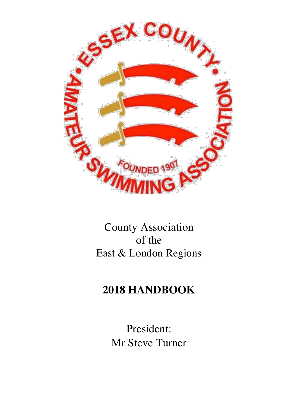

# County Association of the East & London Regions

## **2018 HANDBOOK**

President: Mr Steve Turner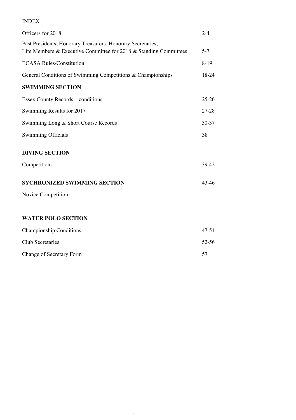### INDEX

| Officers for 2018                                                                                                                | $2 - 4$   |
|----------------------------------------------------------------------------------------------------------------------------------|-----------|
| Past Presidents, Honorary Treasurers, Honorary Secretaries,<br>Life Members & Executive Committee for 2018 & Standing Committees | $5 - 7$   |
| <b>ECASA Rules/Constitution</b>                                                                                                  | $8 - 19$  |
| General Conditions of Swimming Competitions & Championships                                                                      | $18-24$   |
| <b>SWIMMING SECTION</b>                                                                                                          |           |
| Essex County Records - conditions                                                                                                | $25 - 26$ |
| Swimming Results for 2017                                                                                                        | $27 - 28$ |
| Swimming Long & Short Course Records                                                                                             | $30 - 37$ |
| <b>Swimming Officials</b>                                                                                                        | 38        |
| <b>DIVING SECTION</b>                                                                                                            |           |
| Competitions                                                                                                                     | 39-42     |
| <b>SYCHRONIZED SWIMMING SECTION</b>                                                                                              | $43 - 46$ |
| Novice Competition                                                                                                               |           |
|                                                                                                                                  |           |
| <b>WATER POLO SECTION</b>                                                                                                        |           |
| <b>Championship Conditions</b>                                                                                                   | $47 - 51$ |
| Club Secretaries                                                                                                                 | $52 - 56$ |
| Change of Secretary Form                                                                                                         | 57        |

1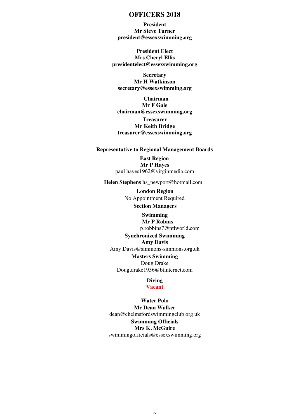### **OFFICERS 2018**

**President Mr Steve Turner president@essexswimming.org**

**President Elect Mrs Cheryl Ellis presidentelect@essexswimming.org**

### **Secretary**

**Mr H Watkinson secretary@essexswimming.org**

**Chairman Mr F Gale chairman@essexswimming.org**

**Treasurer Mr Keith Bridge treasurer@essexswimming.org**

### **Representative to Regional Management Boards**

**East Region Mr P Hayes** paul.hayes1962@virginmedia.com

**Helen Stephens** hs\_newport@hotmail.com

**London Region** No Appointment Required

**Section Managers**

**Swimming Mr P Robins** p.robbins7@ntlworld.com

**Synchronized Swimming Amy Davis** Amy.Davis@simmons-simmons.org.uk

**Masters Swimming** Doug Drake

Doug.drake1956@btinternet.com

### **Diving Vacant**

**Water Polo Mr Dean Walker** dean@chelmsfordswimmingclub.org.uk

**Swimming Officials Mrs K. McGuire**  swimmingofficials@essexswimming.org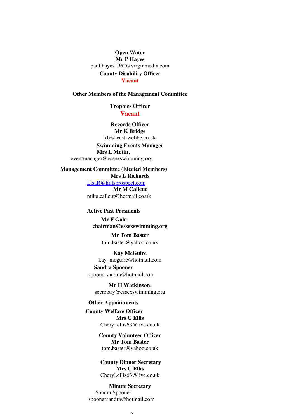**Open Water Mr P Hayes** paul.hayes1962@virginmedia.com **County Disability Officer Vacant**

**Other Members of the Management Committee**

### **Trophies Officer**

### **Vacant**

**Records Officer Mr K Bridge** kb@west-webbe.co.uk

### **Swimming Events Manager Mrs L Motin,** eventmanager@essexswimming.org

**Management Committee (Elected Members) Mrs L Richards** LisaR@hillsprospect.com **Mr M Callcut**

mike.callcut@hotmail.co.uk

**Active Past Presidents Mr F Gale chairman@essexswimming.org**

> **Mr Tom Baster** tom.baster@yahoo.co.uk

> > **Kay McGuire**

kay\_mcguire@hotmail.com **Sandra Spooner**

spoonersandra@hotmail.com

**Mr H Watkinson,** secretary@essexswimming.org

### **Other Appointments**

**County Welfare Officer Mrs C Ellis**  Cheryl.ellis63@live.co.uk

> **County Volunteer Officer Mr Tom Baster** tom.baster@yahoo.co.uk

**County Dinner Secretary Mrs C Ellis**  Cheryl.ellis63@live.co.uk

**Minute Secretary** Sandra Spooner spoonersandra@hotmail.com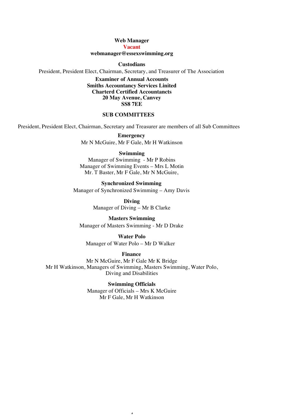### **Web Manager**

**Vacant**

### **webmanager@essexswimming.org**

**Custodians**

President, President Elect, Chairman, Secretary, and Treasurer of The Association

### **Examiner of Annual Accounts Smiths Accountancy Services Linited Charterd Certified Accountancts 20 May Avenue, Canvey SS8 7EE**

### **SUB COMMITTEES**

President, President Elect, Chairman, Secretary and Treasurer are members of all Sub Committees

### **Emergency**

Mr N McGuire, Mr F Gale, Mr H Watkinson

### **Swimming**

Manager of Swimming - Mr P Robins Manager of Swimming Events – Mrs L Motin Mr. T Baster, Mr F Gale, Mr N McGuire,

**Synchronized Swimming** Manager of Synchronized Swimming – Amy Davis

> **Diving** Manager of Diving – Mr B Clarke

### **Masters Swimming**

Manager of Masters Swimming - Mr D Drake

### **Water Polo**

Manager of Water Polo – Mr D Walker

### **Finance**

Mr N McGuire, Mr F Gale Mr K Bridge Mr H Watkinson, Managers of Swimming, Masters Swimming, Water Polo, Diving and Disabilities

### **Swimming Officials**

Manager of Officials – Mrs K McGuire Mr F Gale, Mr H Watkinson

4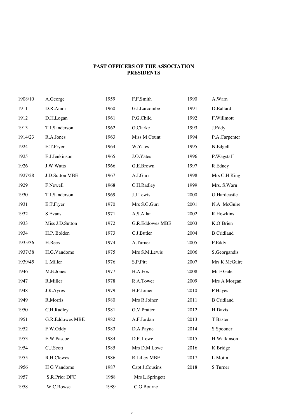### **PAST OFFICERS OF THE ASSOCIATION PRESIDENTS**

| 1908/10 | A.George              | 1959 | F.F.Smith              | 1990 | A.Warn            |
|---------|-----------------------|------|------------------------|------|-------------------|
| 1911    | D.R.Amor              | 1960 | G.J.Larcombe           | 1991 | D.Ballard         |
| 1912    | D.H.Logan             | 1961 | P.G.Child              | 1992 | F.Willmott        |
| 1913    | T.J.Sanderson         | 1962 | G.Clarke               | 1993 | J.Eddy            |
| 1914/23 | R.A.Jones             | 1963 | Miss M.Count           | 1994 | P.A.Carpenter     |
| 1924    | E.T.Fryer             | 1964 | W.Yates                | 1995 | N.Edgell          |
| 1925    | E.J.Jenkinson         | 1965 | J.O.Yates              | 1996 | P.Wagstaff        |
| 1926    | J.W.Watts             | 1966 | G.E.Brown              | 1997 | R.Edney           |
| 1927/28 | <b>J.D.Sutton MBE</b> | 1967 | A.J.Gurr               | 1998 | Mrs C.H.King      |
| 1929    | F.Newell              | 1968 | C.H.Radley             | 1999 | Mrs. S.Warn       |
| 1930    | T.J.Sanderson         | 1969 | J.J.Lewis              | 2000 | G.Hardcastle      |
| 1931    | E.T.Fryer             | 1970 | Mrs S.G.Gurr           | 2001 | N.A. McGuire      |
| 1932    | S.Evans               | 1971 | A.S.Allan              | 2002 | R.Howkins         |
| 1933    | Miss J.D.Sutton       | 1972 | <b>G.R.Eddowes MBE</b> | 2003 | K.O'Brien         |
| 1934    | H.P. Bolden           | 1973 | C.J.Butler             | 2004 | <b>B.Cridland</b> |
| 1935/36 | H.Rees                | 1974 | A.Turner               | 2005 | P.Eddy            |
| 1937/38 | H.G.Vandome           | 1975 | Mrs S.M.Lewis          | 2006 | S.Georgandis      |
| 1939/45 | L.Miller              | 1976 | S.P.Pitt               | 2007 | Mrs K McGuire     |
| 1946    | M.E.Jones             | 1977 | H.A.Fox                | 2008 | Mr F Gale         |
| 1947    | R.Miller              | 1978 | R.A.Tower              | 2009 | Mrs A Morgan      |
| 1948    | J.R.Ayres             | 1979 | H.F.Joiner             | 2010 | P Hayes           |
| 1949    | R.Morris              | 1980 | Mrs R.Joiner           | 2011 | <b>B</b> Cridland |
| 1950    | C.H.Radley            | 1981 | G.V.Pratten            | 2012 | H Davis           |
| 1951    | G.R.Eddowes MBE       | 1982 | A.F.Jordan             | 2013 | T Baster          |
| 1952    | F.W.Oddy              | 1983 | D.A.Payne              | 2014 | S Spooner         |
| 1953    | E.W.Pascoe            | 1984 | D.P. Lowe              | 2015 | H Watkinson       |
| 1954    | C.J.Scott             | 1985 | Mrs D.M.Lowe           | 2016 | K Bridge          |
| 1955    | R.H.Clewes            | 1986 | R.Lilley MBE           | 2017 | L Motin           |
| 1956    | H G Vandome           | 1987 | Capt J.Cousins         | 2018 | S Turner          |
| 1957    | S.R.Prior DFC         | 1988 | Mrs L.Springett        |      |                   |
| 1958    | W.C.Rowse             | 1989 | C.G.Bourne             |      |                   |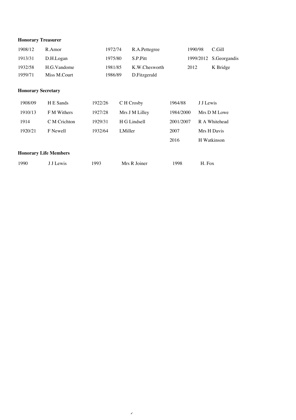### **Honorary Treasurer**

| 1908/12 | R.Amor       | 1972/74 | R.A.Pettegree | 1990/98 | C.Gill                 |
|---------|--------------|---------|---------------|---------|------------------------|
| 1913/31 | D.H.Logan    | 1975/80 | S.P.Pitt      |         | 1999/2012 S.Georgandis |
| 1932/58 | H.G.Vandome  | 1981/85 | K.W.Chesworth | 2012    | K Bridge               |
| 1959/71 | Miss M.Court | 1986/89 | D.Fitzgerald  |         |                        |

### **Honorary Secretary**

|         | <b>Honorary Life Members</b> |         |                |           |               |  |  |
|---------|------------------------------|---------|----------------|-----------|---------------|--|--|
|         |                              |         |                | 2016      | H Watkinson   |  |  |
| 1920/21 | F Newell                     | 1932/64 | LMiller        | 2007      | Mrs H Davis   |  |  |
| 1914    | C M Crichton                 | 1929/31 | H G Lindsell   | 2001/2007 | R A Whitehead |  |  |
| 1910/13 | <b>F</b> M Withers           | 1927/28 | Mrs J M Lilley | 1984/2000 | Mrs D M Lowe  |  |  |
| 1908/09 | H E Sands                    | 1922/26 | C H Crosby     | 1964/88   | J J Lewis     |  |  |

1990 J J Lewis 1993 Mrs R Joiner 1998 H. Fox

6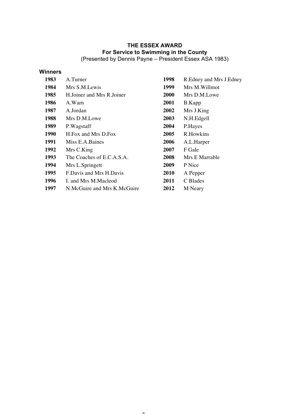## **THE ESSEX AWARD For Service to Swimming in the County**

(Presented by Dennis Payne – President Essex ASA 1983)

## **Winners**

| 1983 | A.Turner                       | 1998 | R. Edney and Mrs J. Edney |
|------|--------------------------------|------|---------------------------|
| 1984 | Mrs S.M.Lewis                  | 1999 | Mrs M.Willmot             |
| 1985 | H.Joiner and Mrs R.Joiner      | 2000 | Mrs D.M.Lowe              |
| 1986 | A.Warn                         | 2001 | B.Kapp                    |
| 1987 | A.Jordan                       | 2002 | Mrs J.King                |
| 1988 | Mrs D.M.Lowe                   | 2003 | N.H.Edgell                |
| 1989 | P.Wagstaff                     | 2004 | P.Hayes                   |
| 1990 | H.Fox and Mrs D.Fox            | 2005 | R.Howkins                 |
| 1991 | Miss E.A.Baines                | 2006 | A.L.Harper                |
| 1992 | Mrs C.King                     | 2007 | F Gale                    |
| 1993 | The Coaches of E.C.A.S.A.      | 2008 | Mrs E Marrable            |
| 1994 | Mrs L.Springett                | 2009 | P Nice                    |
| 1995 | <b>F.Davis and Mrs H.Davis</b> | 2010 | A Pepper                  |
| 1996 | L and Mrs M.Macleod            | 2011 | C Blades                  |
| 1997 | N.McGuire and Mrs K.McGuire    | 2012 | M Neary                   |
|      |                                |      |                           |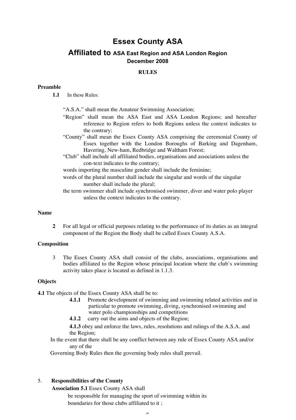## **Essex County ASA**

## **Affiliated to ASA East Region and ASA London Region December 2008**

### **RULES**

### **Preamble**

**1.1** In these Rules:

- "A.S.A." shall mean the Amateur Swimming Association;
- "Region" shall mean the ASA East and ASA London Regions; and hereafter reference to Region refers to both Regions unless the context indicates to the contrary;
- "County" shall mean the Essex County ASA comprising the ceremonial County of Essex together with the London Boroughs of Barking and Dagenham, Havering, New-ham, Redbridge and Waltham Forest;
- "Club" shall include all affiliated bodies, organisations and associations unless the con-text indicates to the contrary;

words importing the masculine gender shall include the feminine;

words of the plural number shall include the singular and words of the singular number shall include the plural;

the term swimmer shall include synchronised swimmer, diver and water polo player unless the context indicates to the contrary.

### **Name**

**2** For all legal or official purposes relating to the performance of its duties as an integral component of the Region the Body shall be called Essex County A.S.A.

### **Composition**

3 The Essex County ASA shall consist of the clubs, associations, organisations and bodies affiliated to the Region whose principal location where the club's swimming activity takes place is located as defined in 1.1.3.

### **Objects**

**4.1** The objects of the Essex County ASA shall be to:

- **4.1.1** Promote development of swimming and swimming related activities and in particular to promote swimming, diving, synchronised swimming and water polo championships and competitions
- **4.1.2** carry out the aims and objects of the Region;

**4.1.3** obey and enforce the laws, rules, resolutions and rulings of the A.S.A. and the Region;

In the event that there shall be any conflict between any rule of Essex County ASA and/or any of the

Governing Body Rules then the governing body rules shall prevail.

### 5. **Responsibilities of the County**

**Association 5.1** Essex County ASA shall

be responsible for managing the sport of swimming within its boundaries for those clubs affiliated to it ;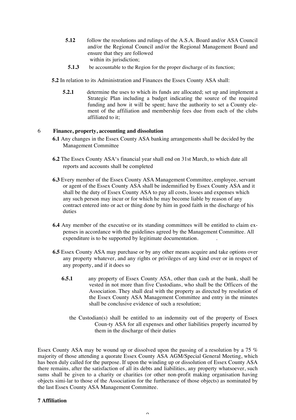- **5.12** follow the resolutions and rulings of the A.S.A. Board and/or ASA Council and/or the Regional Council and/or the Regional Management Board and ensure that they are followed within its jurisdiction;
- **5.1.3** be accountable to the Region for the proper discharge of its function:

**5.2** In relation to its Administration and Finances the Essex County ASA shall:

**5.2.1** determine the uses to which its funds are allocated; set up and implement a Strategic Plan including a budget indicating the source of the required funding and how it will be spent; have the authority to set a County element of the affiliation and membership fees due from each of the clubs affiliated to it;

### 6 **Finance, property, accounting and dissolution**

- **6.1** Any changes in the Essex County ASA banking arrangements shall be decided by the Management Committee
- **6.2** The Essex County ASA's financial year shall end on 31st March, to which date all reports and accounts shall be completed
- **6.3** Every member of the Essex County ASA Management Committee, employee, servant or agent of the Essex County ASA shall be indemnified by Essex County ASA and it shall be the duty of Essex County ASA to pay all costs, losses and expenses which any such person may incur or for which he may become liable by reason of any contract entered into or act or thing done by him in good faith in the discharge of his duties
- **6.4** Any member of the executive or its standing committees will be entitled to claim expenses in accordance with the guidelines agreed by the Management Committee. All expenditure is to be supported by legitimate documentation. .
- **6.5** Essex County ASA may purchase or by any other means acquire and take options over any property whatever, and any rights or privileges of any kind over or in respect of any property, and if it does so
	- **6.5.1** any property of Essex County ASA, other than cash at the bank, shall be vested in not more than five Custodians, who shall be the Officers of the Association. They shall deal with the property as directed by resolution of the Essex County ASA Management Committee and entry in the minutes shall be conclusive evidence of such a resolution;
		- the Custodian(s) shall be entitled to an indemnity out of the property of Essex Coun-ty ASA for all expenses and other liabilities properly incurred by them in the discharge of their duties

Essex County ASA may be wound up or dissolved upon the passing of a resolution by a 75 % majority of those attending a quorate Essex County ASA AGM/Special General Meeting, which has been duly called for the purpose. If upon the winding up or dissolution of Essex County ASA there remains, after the satisfaction of all its debts and liabilities, any property whatsoever, such sums shall be given to a charity or charities (or other non-profit making organisation having objects simi-lar to those of the Association for the furtherance of those objects) as nominated by the last Essex County ASA Management Committee.

### **7 Affiliation**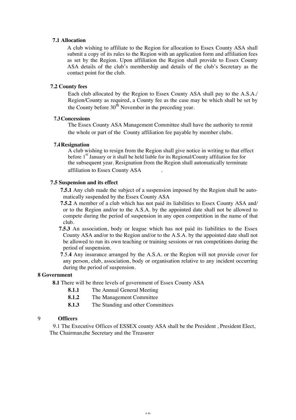### **7.1 Allocation**

A club wishing to affiliate to the Region for allocation to Essex County ASA shall submit a copy of its rules to the Region with an application form and affiliation fees as set by the Region. Upon affiliation the Region shall provide to Essex County ASA details of the club's membership and details of the club's Secretary as the contact point for the club.

### **7.2 County fees**

Each club allocated by the Region to Essex County ASA shall pay to the A.S.A./ Region/County as required, a County fee as the case may be which shall be set by the County before  $30^{\text{th}}$  November in the preceding year.

### **7.3Concessions**

The Essex County ASA Management Committee shall have the authority to remit the whole or part of the County affiliation fee payable by member clubs.

### **7.4Resignation**

 $\overrightarrow{A}$  club wishing to resign from the Region shall give notice in writing to that effect before 1<sup>st</sup> January or it shall be held liable for its Regional/County affiliation fee for the subsequent year. Resignation from the Region shall automatically terminate affiliation to Essex County ASA .

### **7.5 Suspension and its effect**

**7.5.1** Any club made the subject of a suspension imposed by the Region shall be automatically suspended by the Essex County ASA

**7.5.2** A member of a club which has not paid its liabilities to Essex County ASA and/ or to the Region and/or to the A.S.A. by the appointed date shall not be allowed to compete during the period of suspension in any open competition in the name of that club.

**7.5.3** An association, body or league which has not paid its liabilities to the Essex County ASA and/or to the Region and/or to the A.S.A. by the appointed date shall not be allowed to run its own teaching or training sessions or run competitions during the period of suspension.

**7**.5.**4** Any insurance arranged by the A.S.A. or the Region will not provide cover for any person, club, association, body or organisation relative to any incident occurring during the period of suspension.

### **8 Government**

**8.1** There will be three levels of government of Essex County ASA

- **8.1.1** The Annual General Meeting
- **8.1.2** The Management Committee
- **8.1.3** The Standing and other Committees

### 9 **Officers**

9.1 The Executive Offices of ESSEX county ASA shall be the President , President Elect, The Chairman,the Secretary and the Treasurer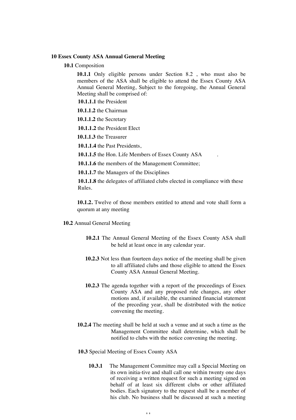### **10 Essex County ASA Annual General Meeting**

### **10.1** Composition

**10.1.1** Only eligible persons under Section 8.2 , who must also be members of the ASA shall be eligible to attend the Essex County ASA Annual General Meeting, Subject to the foregoing, the Annual General Meeting shall be comprised of:

**10.1.1.1** the President

**10.1.1.2** the Chairman

**10.1.1.2** the Secretary

**10.1.1.2** the President Elect

**10.1.1.3** the Treasurer

**10.1.1.4** the Past Presidents,

**10.1.1.5** the Hon. Life Members of Essex County ASA .

**10.1.1.6** the members of the Management Committee;

**10.1.1.7** the Managers of the Disciplines

**10.1.1.8** the delegates of affiliated clubs elected in compliance with these Rules.

**10.1.2.** Twelve of those members entitled to attend and vote shall form a quorum at any meeting

- **10.2** Annual General Meeting
	- **10.2.1** The Annual General Meeting of the Essex County ASA shall be held at least once in any calendar year.
	- **10.2.3** Not less than fourteen days notice of the meeting shall be given to all affiliated clubs and those eligible to attend the Essex County ASA Annual General Meeting.
	- **10.2.3** The agenda together with a report of the proceedings of Essex County ASA and any proposed rule changes, any other motions and, if available, the examined financial statement of the preceding year, shall be distributed with the notice convening the meeting.
	- **10.2.4** The meeting shall be held at such a venue and at such a time as the Management Committee shall determine, which shall be notified to clubs with the notice convening the meeting.
	- **10.3** Special Meeting of Essex County ASA
		- **10.3.1** The Management Committee may call a Special Meeting on its own initia-tive and shall call one within twenty one days of receiving a written request for such a meeting signed on behalf of at least six different clubs or other affiliated bodies. Each signatory to the request shall be a member of his club. No business shall be discussed at such a meeting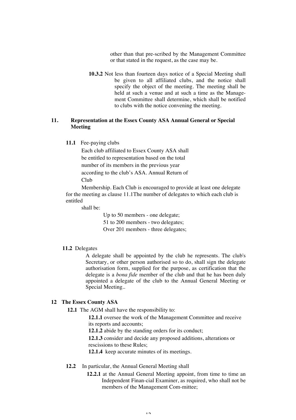other than that pre-scribed by the Management Committee or that stated in the request, as the case may be.

**10.3.2** Not less than fourteen days notice of a Special Meeting shall be given to all affiliated clubs, and the notice shall specify the object of the meeting. The meeting shall be held at such a venue and at such a time as the Management Committee shall determine, which shall be notified to clubs with the notice convening the meeting.

### **11. Representation at the Essex County ASA Annual General or Special Meeting**

**11.1** Fee-paying clubs

Each club affiliated to Essex County ASA shall be entitled to representation based on the total number of its members in the previous year according to the club's ASA. Annual Return of Club

Membership. Each Club is encouraged to provide at least one delegate for the meeting as clause 11.1The number of delegates to which each club is entitled

shall be:

Up to 50 members - one delegate; 51 to 200 members - two delegates; Over 201 members - three delegates;

### **11.2** Delegates

A delegate shall be appointed by the club he represents. The club's Secretary, or other person authorised so to do, shall sign the delegate authorisation form, supplied for the purpose, as certification that the delegate is a *bona fide* member of the club and that he has been duly appointed a delegate of the club to the Annual General Meeting or Special Meeting..

### **12 The Essex County ASA**

**12.1** The AGM shall have the responsibility to:

**12.1.1** oversee the work of the Management Committee and receive its reports and accounts;

**12.1.2** abide by the standing orders for its conduct;

**12.1.3** consider and decide any proposed additions, alterations or rescissions to these Rules;

**12.1.4** keep accurate minutes of its meetings.

**12.2** In particular, the Annual General Meeting shall

**12.2.1** at the Annual General Meeting appoint, from time to time an Independent Finan-cial Examiner, as required, who shall not be members of the Management Com-mittee;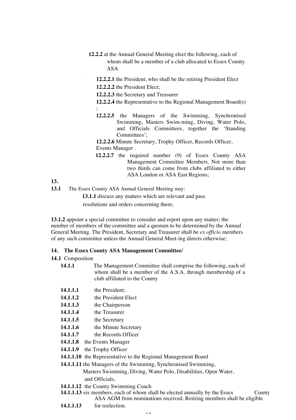- **12.2.2** at the Annual General Meeting elect the following, each of whom shall be a member of a club allocated to Essex County ASA
	- **12.2.2.1** the President, who shall be the retiring President Elect

**12.2.2.2** the President Elect;

**12.2.2.3** the Secretary and Treasurer

- **12.2.2.4** the Representative to the Regional Management Board(s) ;
- **12.2.2.5** the Managers of the Swimming, Synchronised Swimming, Masters Swim-ming, Diving, Water Polo, and Officials Committees, together the 'Standing Committees';

**12.2.2.6** Minute Secretary, Trophy Officer, Records Officer,

Events Manager .

**12.2.2.7** the required number (9) of Essex County ASA Management Committee Members. Not more than two thirds can come from clubs affiliated to either ASA London or ASA East Regions;

**13.**

13.1 The Essex County ASA Annual General Meeting may:

**13.1.1** discuss any matters which are relevant and pass

resolutions and orders concerning them;

**13.1.2** appoint a special committee to consider and report upon any matter; the number of members of the committee and a quorum to be determined by the Annual General Meeting. The President, Secretary and Treasurer shall be *ex officio* members of any such committee unless the Annual General Meet-ing directs otherwise;

### **14. The Essex County ASA Management Committee/**

### **14.1** Composition

:

- **14.1.1** The Management Committee shall comprise the following, each of whom shall be a member of the A.S.A. through membership of a club affiliated to the County
- **14.1.1.1** the President;
- **14.1.1.2** the President Elect
- **14.1.1.3** the Chairperson
- **14.1.1.4** the Treasurer
- **14.1.1.5** the Secretary
- 14.1.1.6 the Minute Secretary
- **14.1.1.7** the Records Officer
- **14.1.1.8** the Events Manager
- **14.1.1.9** the Trophy Officer
- **14.1.1.10** the Representative to the Regional Management Board

**14.1.1.11** the Managers of the Swimming, Synchronised Swimming, Masters Swimming, Diving, Water Polo, Disabilities, Open Water, and Officials,

- **14.1.1.12** the County Swimming Coach
- **14.1.1.13** six members, each of whom shall be elected annually by the Essex County ASA AGM from nominations received. Retiring members shall be eligible
- **14.1.1.13** for reelection.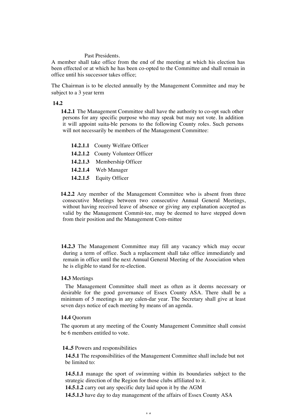### Past Presidents.

A member shall take office from the end of the meeting at which his election has been effected or at which he has been co-opted to the Committee and shall remain in office until his successor takes office;

The Chairman is to be elected annually by the Management Committee and may be subject to a 3 year term

### **14.2**

**14.2.1** The Management Committee shall have the authority to co-opt such other persons for any specific purpose who may speak but may not vote. In addition it will appoint suita-ble persons to the following County roles. Such persons will not necessarily be members of the Management Committee:

- **14.2.1.1** County Welfare Officer
- **14.2.1.2** County Volunteer Officer
- **14.2.1.3** Membership Officer
- **14.2.1.4** Web Manager
- **14.2.1.5** Equity Officer

**14.2.2** Any member of the Management Committee who is absent from three consecutive Meetings between two consecutive Annual General Meetings, without having received leave of absence or giving any explanation accepted as valid by the Management Commit-tee, may be deemed to have stepped down from their position and the Management Com-mittee

**14.2.3** The Management Committee may fill any vacancy which may occur during a term of office. Such a replacement shall take office immediately and remain in office until the next Annual General Meeting of the Association when he is eligible to stand for re-election.

### **14.3** Meetings

The Management Committee shall meet as often as it deems necessary or desirable for the good governance of Essex County ASA. There shall be a minimum of 5 meetings in any calen-dar year. The Secretary shall give at least seven days notice of each meeting by means of an agenda.

### **14.4** Quorum

The quorum at any meeting of the County Management Committee shall consist be 6 members entitled to vote.

### **14..5** Powers and responsibilities

**14.5.1** The responsibilities of the Management Committee shall include but not be limited to:

**14.5.1.1** manage the sport of swimming within its boundaries subject to the strategic direction of the Region for those clubs affiliated to it.

**14.5.1.2** carry out any specific duty laid upon it by the AGM

**14.5.1.3** have day to day management of the affairs of Essex County ASA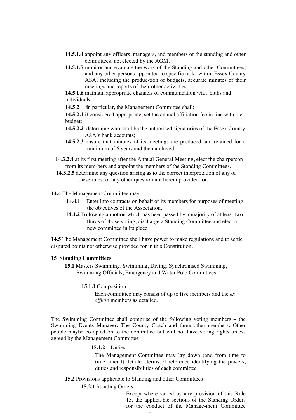- **14.5.1.4** appoint any officers, managers, and members of the standing and other committees, not elected by the AGM;
- **14.5.1.5** monitor and evaluate the work of the Standing and other Committees, and any other persons appointed to specific tasks within Essex County ASA, including the produc-tion of budgets, accurate minutes of their meetings and reports of their other activi-ties;

**14.5.1.6** maintain appropriate channels of communication with, clubs and individuals.

**14.5.2 i**n particular, the Management Committee shall:

**14.5.2.1** if considered appropriate, set the annual affiliation fee in line with the budget<sup>.</sup>

- **14.5.2.2**. determine who shall be the authorised signatories of the Essex County ASA's bank accounts;
- **14.5.2.3** ensure that minutes of its meetings are produced and retained for a minimum of 6 years and then archived;
- **14.3.2.4** at its first meeting after the Annual General Meeting, elect the chairperson from its mem-bers and appoint the members of the Standing Committees,
- **14.3.2.5** determine any question arising as to the correct interpretation of any of these rules, or any other question not herein provided for;

**14.4** The Management Committee may:

- **14.4.1** Enter into contracts on behalf of its members for purposes of meeting the objectives of the Association.
- **14.4.2** Following a motion which has been passed by a majority of at least two thirds of those voting, discharge a Standing Committee and elect a new committee in its place

**14.5** The Management Committee shall have power to make regulations and to settle disputed points not otherwise provided for in this Constitution.

### **15 Standing Committees**

**15.1** Masters Swimming, Swimming, Diving, Synchronised Swimming, Swimming Officials, Emergency and Water Polo Committees

### **15.1.1** Composition

Each committee may consist of up to five members and the *ex officio* members as detailed.

The Swimming Committee shall comprise of the following voting members – the Swimming Events Manager; The County Coach and three other members. Other people maybe co-opted on to the committee but will not have voting rights unless agreed by the Management Committee

### **15.1.2** Duties

The Management Committee may lay down (and from time to time amend) detailed terms of reference identifying the powers, duties and responsibilities of each committee

**15.2** Provisions applicable to Standing and other Committees

#### **15.2.1** Standing Orders

Except where varied by any provision of this Rule 15, the applica-ble sections of the Standing Orders for the conduct of the Manage-ment Committee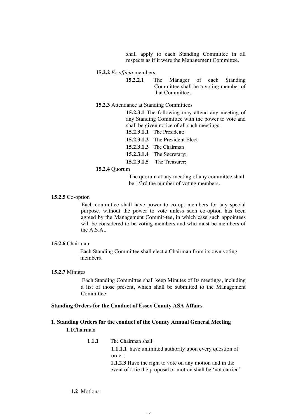shall apply to each Standing Committee in all respects as if it were the Management Committee.

### **15.2.2** *Ex officio* members

**15.2.2.1** The Manager of each Standing Committee shall be a voting member of that Committee.

**15.2.3** Attendance at Standing Committees

**15.2.3.1** The following may attend any meeting of any Standing Committee with the power to vote and shall be given notice of all such meetings:

**15.2.3.1.1** The President; **15.2.3.1.2** The President Elect **15.2.3.1.3** The Chairman **15.2.3.1.4** The Secretary; **15.2.3.1.5** The Treasurer;

### **15.2.4** Quorum

The quorum at any meeting of any committee shall be 1/3rd the number of voting members.

### **15.2.5** Co-option

Each committee shall have power to co-opt members for any special purpose, without the power to vote unless such co-option has been agreed by the Management Commit-tee, in which case such appointees will be considered to be voting members and who must be members of the A.S.A..

### **15.2.6** Chairman

Each Standing Committee shall elect a Chairman from its own voting members.

### **15.2.7** Minutes

Each Standing Committee shall keep Minutes of Its meetings, including a list of those present, which shall be submitted to the Management Committee.

### **Standing Orders for the Conduct of Essex County ASA Affairs**

### **1. Standing Orders for the conduct of the County Annual General Meeting**

**1.1**Chairman

**1.1.1** The Chairman shall: **1.1.1.1** have unlimited authority upon every question of order; **1.1.2.3** Have the right to vote on any motion and in the event of a tie the proposal or motion shall be 'not carried'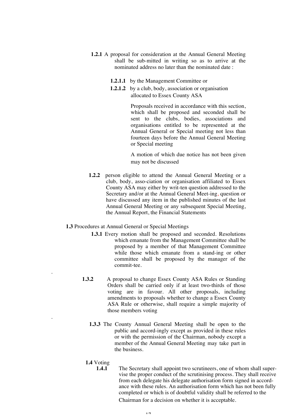- **1.2.1** A proposal for consideration at the Annual General Meeting shall be sub-mitted in writing so as to arrive at the nominated address no later than the nominated date :
	- 1.2.1.1 by the Management Committee or
	- **1.2.1.2** by a club, body, association or organisation allocated to Essex County ASA

Proposals received in accordance with this section, which shall be proposed and seconded shall be sent to the clubs, bodies, associations and organisations entitled to be represented at the Annual General or Special meeting not less than fourteen days before the Annual General Meeting or Special meeting

A motion of which due notice has not been given may not be discussed

- **1.2.2** person eligible to attend the Annual General Meeting or a club, body, asso-ciation or organisation affiliated to Essex County ASA may either by writ-ten question addressed to the Secretary and/or at the Annual General Meet-ing, question or have discussed any item in the published minutes of the last Annual General Meeting or any subsequent Special Meeting, the Annual Report, the Financial Statements
- **1.3** Procedures at Annual General or Special Meetings
	- **1.3.1** Every motion shall be proposed and seconded. Resolutions which emanate from the Management Committee shall be proposed by a member of that Management Committee while those which emanate from a stand-ing or other committee shall be proposed by the manager of the commit-tee.
	- **1.3.2** A proposal to change Essex County ASA Rules or Standing Orders shall be carried only if at least two-thirds of those voting are in favour. All other proposals, including amendments to proposals whether to change a Essex County ASA Rule or otherwise, shall require a simple majority of those members voting
		- **1.3.3** The County Annual General Meeting shall be open to the public and accord-ingly except as provided in these rules or with the permission of the Chairman, nobody except a member of the Annual General Meeting may take part in the business.

## **1.4** Voting

.

.

The Secretary shall appoint two scrutineers, one of whom shall supervise the proper conduct of the scrutinising process. They shall receive from each delegate his delegate authorisation form signed in accordance with these rules. An authorisation form which has not been fully completed or which is of doubtful validity shall be referred to the Chairman for a decision on whether it is acceptable.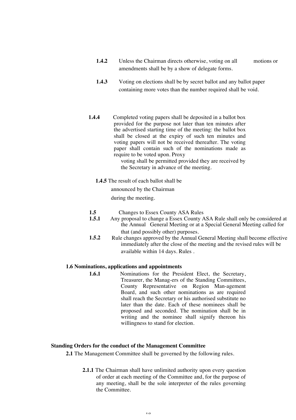- 1.4.2 Unless the Chairman directs otherwise, voting on all motions or amendments shall be by a show of delegate forms.
- **1.4.3** Voting on elections shall be by secret ballot and any ballot paper containing more votes than the number required shall be void.
- **1.4.4** Completed voting papers shall be deposited in a ballot box provided for the purpose not later than ten minutes after the advertised starting time of the meeting: the ballot box shall be closed at the expiry of such ten minutes and voting papers will not be received thereafter. The voting paper shall contain such of the nominations made as require to be voted upon. Proxy

voting shall be permitted provided they are received by the Secretary in advance of the meeting.

**1.4.5** The result of each ballot shall be

announced by the Chairman

during the meeting.

- **1.5** Changes to Essex County ASA Rules<br>**1.5.1** Any proposal to change a Essex County A
- **1.5.1** Any proposal to change a Essex County ASA Rule shall only be considered at the Annual General Meeting or at a Special General Meeting called for that (and possibly other) purposes.
- **1.5.2** Rule changes approved by the Annual General Meeting shall become effective immediately after the close of the meeting and the revised rules will be available within 14 days. Rules .

### **1.6 Nominations, applications and appointments**

**1.6.1** Nominations for the President Elect, the Secretary, Treasurer, the Manag-ers of the Standing Committees, County Representative on Region Man-agement Board, and such other nominations as are required shall reach the Secretary or his authorised substitute no later than the date. Each of these nominees shall be proposed and seconded. The nomination shall be in writing and the nominee shall signify thereon his willingness to stand for election.

### **Standing Orders for the conduct of the Management Committee**

**2.1** The Management Committee shall be governed by the following rules.

**2.1.1** The Chairman shall have unlimited authority upon every question of order at each meeting of the Committee and, for the purpose of any meeting, shall be the sole interpreter of the rules governing the Committee.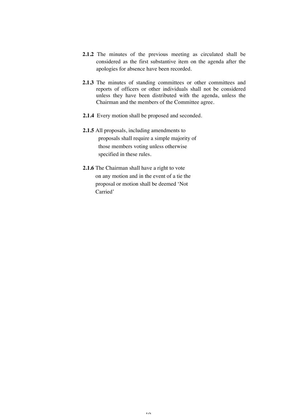- **2.1.2** The minutes of the previous meeting as circulated shall be considered as the first substantive item on the agenda after the apologies for absence have been recorded.
- **2.1.3** The minutes of standing committees or other committees and reports of officers or other individuals shall not be considered unless they have been distributed with the agenda, unless the Chairman and the members of the Committee agree.
- **2.1.4** Every motion shall be proposed and seconded.
- **2.1.5** All proposals, including amendments to proposals shall require a simple majority of those members voting unless otherwise specified in these rules.
- **2.1.6** The Chairman shall have a right to vote on any motion and in the event of a tie the proposal or motion shall be deemed 'Not Carried'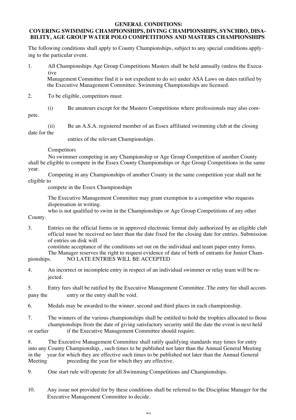### **GENERAL CONDITIONS:**

### **COVERING SWIMMING CHAMPIONSHIPS, DIVING CHAMPIONSHIPS, SYNCHRO, DISA-BILITY, AGE GROUP WATER POLO COMPETITIONS AND MASTERS CHAMPIONSHIPS**

The following conditions shall apply to County Championships, subject to any special conditions applying to the particular event.

1. All Championships Age Group Competitions Masters shall be held annually (unless the Executive

Management Committee find it is not expedient to do so) under ASA Laws on dates ratified by the Executive Management Committee. Swimming Championships are licensed.

- 2. To be eligible, competitors must:
- (i) Be amateurs except for the Masters Competitions where professionals may also compete.

(ii) Be an A.S.A. registered member of an Essex affiliated swimming club at the closing date for the

entries of the relevant Championships.

### Competitors

No swimmer competing in any Championship or Age Group Competition of another County shall be eligible to compete in the Essex County Championships or Age Group Competitions in the same year.

Competing in any Championships of another County in the same competition year shall not be eligible to

compete in the Essex Championships

The Executive Management Committee may grant exemption to a competitor who requests dispensation in writing.

who is not qualified to swim in the Championships or Age Group Competitions of any other County.

3. Entries on the official forms or in approved electronic format duly authorized by an eligible club official must be received no later than the date fixed for the closing date for entries. Submission of entries on disk will

constitute acceptance of the conditions set out on the individual and team paper entry forms.

The Manager reserves the right to request evidence of date of birth of entrants for Junior Cham-<br>pionships. NO LATE ENTRIES WILL BE ACCEPTED NO LATE ENTRIES WILL BE ACCEPTED.

4. An incorrect or incomplete entry in respect of an individual swimmer or relay team will be rejected.

5. Entry fees shall be ratified by the Executive Management Committee. The entry fee shall accompany the entry or the entry shall be void.

6. Medals may be awarded to the winner, second and third places in each championship.

7. The winners of the various championships shall be entitled to hold the trophies allocated to those championships from the date of giving satisfactory security until the date the event is next held or earlier if the Executive Management Committee should require.

8. The Executive Management Committee shall ratify qualifying standards may times for entry into any County Championship, , such times to be published not later than the Annual General Meeting in the year for which they are effective such times to be published not later than the Annual General Meeting preceding the year for which they are effective.

9. One start rule will operate for all Swimming Competitions and Championships.

10. Any issue not provided for by these conditions shall be referred to the Discipline Manager for the Executive Management Committee to decide.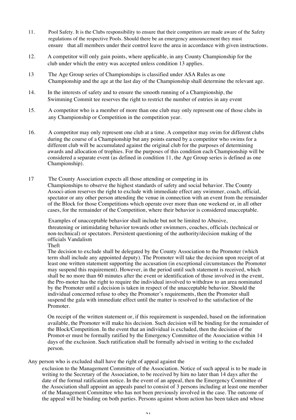- 11. Pool Safety. It is the Clubs responsibility to ensure that their competitors are made aware of the Safety regulations of the respective Pools. Should there be an emergency announcement they must ensure that all members under their control leave the area in accordance with given instructions.
- 12. A competitor will only gain points, where applicable, in any County Championship for the club under which the entry was accepted unless condition 13 applies.
- 13 The Age Group series of Championships is classified under ASA Rules as one Championship and the age at the last day of the Championship shall determine the relevant age.
- 14. In the interests of safety and to ensure the smooth running of a Championship, the Swimming Commit tee reserves the right to restrict the number of entries in any event
- 15. A competitor who is a member of more than one club may only represent one of those clubs in any Championship or Competition in the competition year.
- 16. A competitor may only represent one club at a time. A competitor may swim for different clubs during the course of a Championship but any points earned by a competitor who swims for a different club will be accumulated against the original club for the purposes of determining awards and allocation of trophies. For the purposes of this condition each Championship will be considered a separate event (as defined in condition 11, the Age Group series is defined as one Championship).
- 17 The County Association expects all those attending or competing in its Championships to observe the highest standards of safety and social behavior. The County Associ-ation reserves the right to exclude with immediate effect any swimmer, coach, official, spectator or any other person attending the venue in connection with an event from the remainder of the Block for those Competitions which operate over more than one weekend or, in all other cases, for the remainder of the Competition, where their behavior is considered unacceptable.

Examples of unacceptable behavior shall include but not be limited to Abusive, threatening or intimidating behavior towards other swimmers, coaches, officials (technical or non-technical) or spectators. Persistent questioning of the authority/decision making of the officials Vandalism

Theft

The decision to exclude shall be delegated by the County Association to the Promoter (which term shall include any appointed deputy). The Promoter will take the decision upon receipt of at least one written statement supporting the accusation (in exceptional circumstances the Promoter may suspend this requirement). However, in the period until such statement is received, which shall be no more than 60 minutes after the event or identification of those involved in the event, the Pro-moter has the right to require the individual involved to withdraw to an area nominated by the Promoter until a decision is taken in respect of the unacceptable behavior. Should the individual concerned refuse to obey the Promoter's requirements, then the Promoter shall suspend the gala with immediate effect until the matter is resolved to the satisfaction of the Promoter.

On receipt of the written statement or, if this requirement is suspended, based on the information available, the Promoter will make his decision. Such decision will be binding for the remainder of the Block/Competition. In the event that an individual is excluded, then the decision of the Promot-er must be formally ratified by the Emergency Committee of the Association within 14 days of the exclusion. Such ratification shall be formally advised in writing to the excluded person.

Any person who is excluded shall have the right of appeal against the

exclusion to the Management Committee of the Association. Notice of such appeal is to be made in writing to the Secretary of the Association, to be received by him no later than 14 days after the date of the formal ratification notice. In the event of an appeal, then the Emergency Committee of the Association shall appoint an appeals panel to consist of 3 persons including at least one member of the Management Committee who has not been previously involved in the case. The outcome of the appeal will be binding on both parties. Persons against whom action has been taken and whose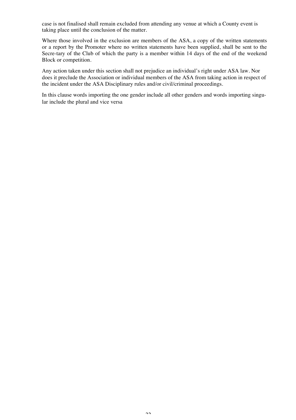case is not finalised shall remain excluded from attending any venue at which a County event is taking place until the conclusion of the matter.

Where those involved in the exclusion are members of the ASA, a copy of the written statements or a report by the Promoter where no written statements have been supplied, shall be sent to the Secre-tary of the Club of which the party is a member within 14 days of the end of the weekend Block or competition.

Any action taken under this section shall not prejudice an individual's right under ASA law. Nor does it preclude the Association or individual members of the ASA from taking action in respect of the incident under the ASA Disciplinary rules and/or civil/criminal proceedings.

In this clause words importing the one gender include all other genders and words importing singular include the plural and vice versa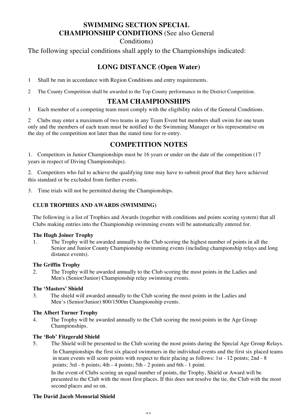## **SWIMMING SECTION SPECIAL CHAMPIONSHIP CONDITIONS** (See also General

Conditions)

The following special conditions shall apply to the Championships indicated:

## **LONG DISTANCE (Open Water)**

1 Shall be run in accordance with Region Conditions and entry requirements.

2 The County Competition shall be awarded to the Top County performance in the District Competition.

## **TEAM CHAMPIONSHIPS**

1 Each member of a competing team must comply with the eligibility rules of the General Conditions.

2 Clubs may enter a maximum of two teams in any Team Event but members shall swim for one team only and the members of each team must be notified to the Swimming Manager or his representative on the day of the competition not later than the stated time for re-entry.

## **COMPETITION NOTES**

1. Competitors in Junior Championships must be 16 years or under on the date of the competition (17 years in respect of Diving Championships).

2. Competitors who fail to achieve the qualifying time may have to submit proof that they have achieved this standard or be excluded from further events.

3. Time trials will not be permitted during the Championships.

### **CLUB TROPHIES AND AWARDS (SWIMMING)**

The following is a list of Trophies and Awards (together with conditions and points scoring system) that all Clubs making entries into the Championship swimming events will be automatically entered for.

### **The Hugh Joiner Trophy**

1. The Trophy will be awarded annually to the Club scoring the highest number of points in all the Senior and Junior County Championship swimming events (including championship relays and long distance events).

### **The Griffin Trophy**

2. The Trophy will be awarded annually to the Club scoring the most points in the Ladies and Men's (Senior/Junior) Championship relay swimming events.

### **The 'Masters' Shield**

3. The shield will awarded annually to the Club scoring the most points in the Ladies and Men's (Senior/Junior) 800/1500m Championship events.

### **The Albert Turner Trophy**

4. The Trophy will be awarded annually to the Club scoring the most points in the Age Group Championships.

### **The 'Bob' Fitzgerald Shield**

5. The Shield will be presented to the Club scoring the most points during the Special Age Group Relays. In Championships the first six placed swimmers in the individual events and the first six placed teams in team events will score points with respect to their placing as follows: 1st - 12 points; 2nd - 8 points; 3rd - 6 points; 4th - 4 points; 5th - 2 points and 6th - 1 point.

In the event of Clubs scoring an equal number of points, the Trophy, Shield or Award will be presented to the Club with the most first places. If this does not resolve the tie, the Club with the most second places and so on.

### **The David Jacob Memorial Shield**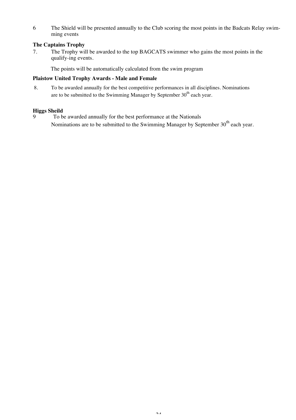6 The Shield will be presented annually to the Club scoring the most points in the Badcats Relay swimming events

### **The Captains Trophy**

7. The Trophy will be awarded to the top BAGCATS swimmer who gains the most points in the qualify-ing events.

The points will be automatically calculated from the swim program

### **Plaistow United Trophy Awards - Male and Female**

8. To be awarded annually for the best competitive performances in all disciplines. Nominations are to be submitted to the Swimming Manager by September  $30<sup>th</sup>$  each year.

## **Higgs Sheild**

To be awarded annually for the best performance at the Nationals Nominations are to be submitted to the Swimming Manager by September  $30<sup>th</sup>$  each year.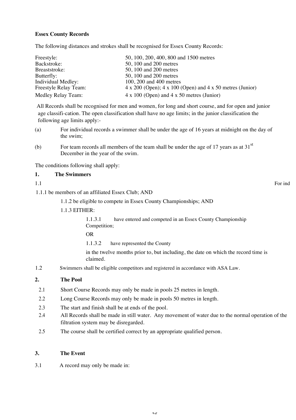### **Essex County Records**

The following distances and strokes shall be recognised for Essex County Records:

| Freestyle:            | 50, 100, 200, 400, 800 and 1500 metres                                         |
|-----------------------|--------------------------------------------------------------------------------|
| Backstroke:           | 50, 100 and 200 metres                                                         |
| Breaststroke:         | 50, 100 and 200 metres                                                         |
| Butterfly:            | 50, 100 and 200 metres                                                         |
| Individual Medley:    | 100, 200 and 400 metres                                                        |
| Freestyle Relay Team: | $4 \times 200$ (Open); $4 \times 100$ (Open) and $4 \times 50$ metres (Junior) |
| Medley Relay Team:    | $4 \times 100$ (Open) and $4 \times 50$ metres (Junior)                        |

All Records shall be recognised for men and women, for long and short course, and for open and junior age classifi-cation. The open classification shall have no age limits; in the junior classification the following age limits apply:-

- (a) For individual records a swimmer shall be under the age of 16 years at midnight on the day of the swim;
- (b) For team records all members of the team shall be under the age of 17 years as at  $31<sup>st</sup>$ December in the year of the swim.

The conditions following shall apply:

### **1. The Swimmers**

1.1 For individual and team records, the swimmers must swimmers must be swimmer must be swimmer must be swimmer

1.1.1 be members of an affiliated Essex Club; AND

1.1.2 be eligible to compete in Essex County Championships; AND

 $1.1.3$  EITHER $\cdot$ 

1.1.3.1 have entered and competed in an Essex County Championship Competition;

OR

1.1.3.2 have represented the County

in the twelve months prior to, but including, the date on which the record time is claimed.

1.2 Swimmers shall be eligible competitors and registered in accordance with ASA Law.

### **2. The Pool**

- 2.1 Short Course Records may only be made in pools 25 metres in length.
- 2.2 Long Course Records may only be made in pools 50 metres in length.
- 2.3 The start and finish shall be at ends of the pool.
- 2.4 All Records shall be made in still water. Any movement of water due to the normal operation of the filtration system may be disregarded.
- 2.5 The course shall be certified correct by an appropriate qualified person.

### **3. The Event**

3.1 A record may only be made in: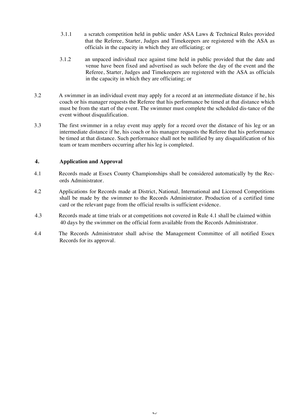- 3.1.1 a scratch competition held in public under ASA Laws & Technical Rules provided that the Referee, Starter, Judges and Timekeepers are registered with the ASA as officials in the capacity in which they are officiating; or
- 3.1.2 an unpaced individual race against time held in public provided that the date and venue have been fixed and advertised as such before the day of the event and the Referee, Starter, Judges and Timekeepers are registered with the ASA as officials in the capacity in which they are officiating; or
- 3.2 A swimmer in an individual event may apply for a record at an intermediate distance if he, his coach or his manager requests the Referee that his performance be timed at that distance which must be from the start of the event. The swimmer must complete the scheduled dis-tance of the event without disqualification.
- 3.3 The first swimmer in a relay event may apply for a record over the distance of his leg or an intermediate distance if he, his coach or his manager requests the Referee that his performance be timed at that distance. Such performance shall not be nullified by any disqualification of his team or team members occurring after his leg is completed.

### **4. Application and Approval**

- 4.1 Records made at Essex County Championships shall be considered automatically by the Records Administrator.
- 4.2 Applications for Records made at District, National, International and Licensed Competitions shall be made by the swimmer to the Records Administrator. Production of a certified time card or the relevant page from the official results is sufficient evidence.
- 4.3 Records made at time trials or at competitions not covered in Rule 4.1 shall be claimed within 40 days by the swimmer on the official form available from the Records Administrator.
- 4.4 The Records Administrator shall advise the Management Committee of all notified Essex Records for its approval.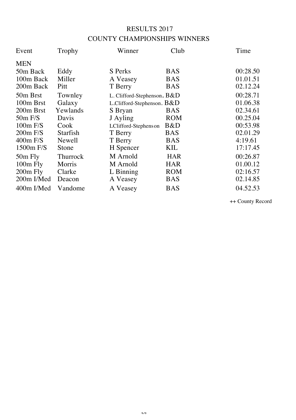## RESULTS 2017 COUNTY CHAMPIONSHIPS WINNERS

| Event                 | Trophy   | Winner                        | Club       | Time     |
|-----------------------|----------|-------------------------------|------------|----------|
| <b>MEN</b>            |          |                               |            |          |
| 50m Back              | Eddy     | S Perks                       | BAS        | 00:28.50 |
| 100m Back             | Miller   | A Veasey                      | BAS        | 01.01.51 |
| 200m Back             | Pitt     | T Berry                       | BAS        | 02.12.24 |
| 50m Brst              | Townley  | L. Clifford-Stephenson. $B&D$ |            | 00:28.71 |
| 100m Brst             | Galaxy   | L.Clifford-Stephenson. B&D    |            | 01.06.38 |
| 200 <sub>m</sub> Brst | Yewlands | S Bryan                       | BAS        | 02.34.61 |
| $50m$ F/S             | Davis    | J Ayling                      | <b>ROM</b> | 00.25.04 |
| $100m$ F/S            | Cook     | LClifford-Stephenson          | B&D        | 00:53.98 |
| $200m$ F/S            | Starfish | T Berry                       | <b>BAS</b> | 02.01.29 |
| $400m$ F/S            | Newell   | T Berry                       | BAS        | 4:19.61  |
| $1500m$ F/S           | Stone    | H Spencer                     | KIL        | 17:17.45 |
| 50m Fly               | Thurrock | M Arnold                      | <b>HAR</b> | 00:26.87 |
| $100m$ Fly            | Morris   | M Arnold                      | <b>HAR</b> | 01.00.12 |
| $200m$ Fly            | Clarke   | L Binning                     | <b>ROM</b> | 02:16.57 |
| 200m I/Med            | Deacon   | A Veasey                      | BAS        | 02.14.85 |
| 400m I/Med            | Vandome  | A Veasey                      | BAS        | 04.52.53 |

++ County Record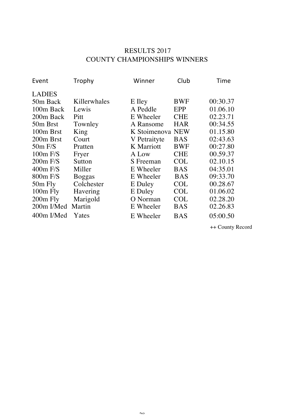## RESULTS 2017 COUNTY CHAMPIONSHIPS WINNERS

| Trophy        | Winner       | Club       | Time             |
|---------------|--------------|------------|------------------|
|               |              |            |                  |
| Killerwhales  | E Iley       | <b>BWF</b> | 00:30.37         |
| Lewis         | A Peddle     | EPP        | 01.06.10         |
| Pitt          | E Wheeler    | <b>CHE</b> | 02.23.71         |
| Townley       | A Ransome    | <b>HAR</b> | 00:34.55         |
| King          |              |            | 01.15.80         |
| Court         | V Petraityte | <b>BAS</b> | 02:43.63         |
| Pratten       | K Marriott   | <b>BWF</b> | 00:27.80         |
| Fryer         | A Low        | <b>CHE</b> | 00.59.37         |
| Sutton        | S Freeman    | COL        | 02.10.15         |
| Miller        | E Wheeler    | BAS        | 04:35.01         |
| <b>Boggas</b> | E Wheeler    | BAS        | 09:33.70         |
| Colchester    | E Duley      | <b>COL</b> | 00.28.67         |
| Havering      | E Duley      | <b>COL</b> | 01.06.02         |
| Marigold      | O Norman     | <b>COL</b> | 02.28.20         |
| Martin        | E Wheeler    | BAS        | 02.26.83         |
| Yates         | E Wheeler    | <b>BAS</b> | 05:00.50         |
|               |              |            | K Stoimenova NEW |

++ County Record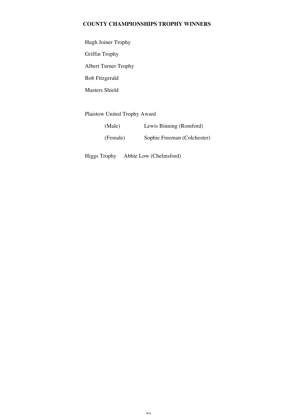### **COUNTY CHAMPIONSHIPS TROPHY WINNERS**

Hugh Joiner Trophy

Griffin Trophy

Albert Turner Trophy

Bob Fitzgerald

Masters Shield

Plaistow United Trophy Award

| (Male)   | Lewis Binning (Romford)     |
|----------|-----------------------------|
| (Female) | Sophie Freeman (Colchester) |

Higgs Trophy Abbie Low (Chelmsford)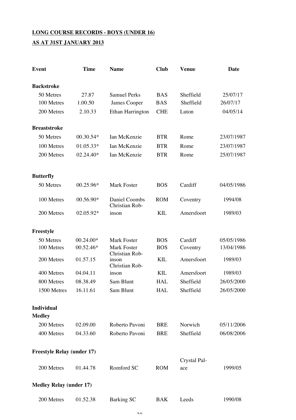### **LONG COURSE RECORDS - BOYS (UNDER 16)**

## **AS AT 31ST JANUARY 2013**

| Event                             | Time      | <b>Name</b>                     | <b>Club</b> | Venue               | Date       |
|-----------------------------------|-----------|---------------------------------|-------------|---------------------|------------|
| <b>Backstroke</b>                 |           |                                 |             |                     |            |
| 50 Metres                         | 27.87     | <b>Samuel Perks</b>             | <b>BAS</b>  | Sheffield           | 25/07/17   |
| 100 Metres                        | 1.00.50   | James Cooper                    | BAS         | Sheffield           | 26/07/17   |
| 200 Metres                        | 2.10.33   | Ethan Harrington                | <b>CHE</b>  | Luton               | 04/05/14   |
| <b>Breaststroke</b>               |           |                                 |             |                     |            |
| 50 Metres                         | 00.30.54* | Ian McKenzie                    | <b>BTR</b>  | Rome                | 23/07/1987 |
| 100 Metres                        | 01.05.33* | Ian McKenzie                    | <b>BTR</b>  | Rome                | 23/07/1987 |
| 200 Metres                        | 02.24.40* | Ian McKenzie                    | <b>BTR</b>  | Rome                | 25/07/1987 |
| <b>Butterfly</b>                  |           |                                 |             |                     |            |
| 50 Metres                         | 00.25.96* | Mark Foster                     | <b>BOS</b>  | Cardiff             | 04/05/1986 |
| 100 Metres                        | 00.56.90* | Daniel Coombs<br>Christian Rob- | <b>ROM</b>  | Coventry            | 1994/08    |
| 200 Metres                        | 02.05.92* | inson                           | KIL.        | Amersfoort          | 1989/03    |
| Freestyle                         |           |                                 |             |                     |            |
| 50 Metres                         | 00.24.00* | Mark Foster                     | <b>BOS</b>  | Cardiff             | 05/05/1986 |
| 100 Metres                        | 00.52.46* | Mark Foster<br>Christian Rob-   | <b>BOS</b>  | Coventry            | 13/04/1986 |
| 200 Metres                        | 01.57.15  | inson<br>Christian Rob-         | KIL         | Amersfoort          | 1989/03    |
| 400 Metres                        | 04.04.11  | inson                           | <b>KIL</b>  | Amersfoort          | 1989/03    |
| 800 Metres                        | 08.38.49  | Sam Blunt                       | HAL         | Sheffield           | 26/05/2000 |
| 1500 Metres                       | 16.11.61  | Sam Blunt                       | <b>HAL</b>  | Sheffield           | 26/05/2000 |
| <b>Individual</b><br>Medley       |           |                                 |             |                     |            |
| 200 Metres                        | 02.09.00  | Roberto Pavoni                  | BRE         | Norwich             | 05/11/2006 |
| 400 Metres                        | 04.33.60  | Roberto Pavoni                  | <b>BRE</b>  | Sheffield           | 06/08/2006 |
| <b>Freestyle Relay (under 17)</b> |           |                                 |             |                     |            |
| 200 Metres                        | 01.44.78  | Romford SC                      | <b>ROM</b>  | Crystal Pal-<br>ace | 1999/05    |
|                                   |           |                                 |             |                     |            |
| <b>Medley Relay (under 17)</b>    |           |                                 |             |                     |            |
| 200 Metres                        | 01.52.38  | <b>Barking SC</b>               | <b>BAK</b>  | Leeds               | 1990/08    |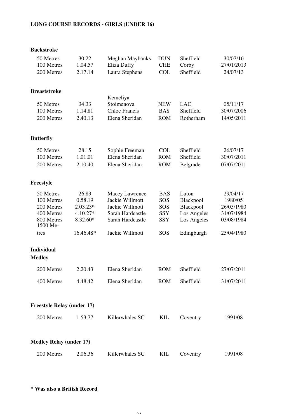## **LONG COURSE RECORDS - GIRLS (UNDER 16)**

| <b>Backstroke</b>                 |            |                    |            |             |            |
|-----------------------------------|------------|--------------------|------------|-------------|------------|
| 50 Metres                         | 30.22      | Meghan Maybanks    | <b>DUN</b> | Sheffield   | 30/07/16   |
| 100 Metres                        | 1.04.57    | <b>Eliza Duffy</b> | <b>CHE</b> | Corby       | 27/01/2013 |
| 200 Metres                        | 2.17.14    | Laura Stephens     | <b>COL</b> | Sheffield   | 24/07/13   |
| <b>Breaststroke</b>               |            |                    |            |             |            |
|                                   |            | Kemeliya           |            |             |            |
| 50 Metres                         | 34.33      | Stoimenova         | NEW        | LAC         | 05/11/17   |
| 100 Metres                        | 1.14.81    | Chloe Francis      | <b>BAS</b> | Sheffield   | 30/07/2006 |
| 200 Metres                        | 2.40.13    | Elena Sheridan     | ROM        | Rotherham   | 14/05/2011 |
| <b>Butterfly</b>                  |            |                    |            |             |            |
| 50 Metres                         | 28.15      | Sophie Freeman     | COL        | Sheffield   | 26/07/17   |
| 100 Metres                        | 1.01.01    | Elena Sheridan     | <b>ROM</b> | Sheffield   | 30/07/2011 |
| 200 Metres                        | 2.10.40    | Elena Sheridan     | <b>ROM</b> | Belgrade    | 07/07/2011 |
| Freestyle                         |            |                    |            |             |            |
| 50 Metres                         | 26.83      | Macey Lawrence     | <b>BAS</b> | Luton       | 29/04/17   |
| 100 Metres                        | 0.58.19    | Jackie Willmott    | SOS        | Blackpool   | 1980/05    |
| 200 Metres                        | $2.03.23*$ | Jackie Willmott    | SOS        | Blackpool   | 26/05/1980 |
| 400 Metres                        | 4.10.27*   | Sarah Hardcastle   | SSY        | Los Angeles | 31/07/1984 |
| 800 Metres<br>1500 Me-            | 8.32.60*   | Sarah Hardcastle   | <b>SSY</b> | Los Angeles | 03/08/1984 |
| tres                              | 16.46.48*  | Jackie Willmott    | SOS        | Edingburgh  | 25/04/1980 |
| <b>Individual</b>                 |            |                    |            |             |            |
| Medley                            |            |                    |            |             |            |
| 200 Metres                        | 2.20.43    | Elena Sheridan     | <b>ROM</b> | Sheffield   | 27/07/2011 |
| 400 Metres                        | 4.48.42    | Elena Sheridan     | <b>ROM</b> | Sheffield   | 31/07/2011 |
| <b>Freestyle Relay (under 17)</b> |            |                    |            |             |            |
|                                   |            |                    |            |             |            |
| 200 Metres                        | 1.53.77    | Killerwhales SC    | KIL.       | Coventry    | 1991/08    |
| <b>Medley Relay (under 17)</b>    |            |                    |            |             |            |
| 200 Metres                        | 2.06.36    | Killerwhales SC    | KIL        | Coventry    | 1991/08    |
|                                   |            |                    |            |             |            |

### **\* Was also a British Record**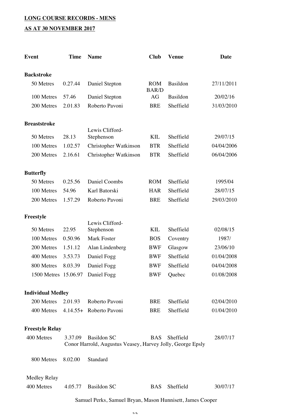### **LONG COURSE RECORDS - MENS**

## **AS AT 30 NOVEMBER 2017**

| Event                         | Time             | Name                                                       | Club                       | Venue                  | Date                   |
|-------------------------------|------------------|------------------------------------------------------------|----------------------------|------------------------|------------------------|
| <b>Backstroke</b>             |                  |                                                            |                            |                        |                        |
| 50 Metres                     | 0.27.44          | Daniel Stepton                                             | <b>ROM</b><br><b>BAR/D</b> | Basildon               | 27/11/2011             |
| 100 Metres                    | 57.46            | Daniel Stepton                                             | AG                         | Basildon               | 20/02/16               |
| 200 Metres                    | 2.01.83          | Roberto Pavoni                                             | <b>BRE</b>                 | Sheffield              | 31/03/2010             |
| Breaststroke                  |                  |                                                            |                            |                        |                        |
| 50 Metres                     | 28.13            | Lewis Clifford-<br>Stephenson                              | <b>KIL</b>                 | Sheffield              | 29/07/15               |
| 100 Metres                    | 1.02.57          | Christopher Watkinson                                      | <b>BTR</b>                 | Sheffield              | 04/04/2006             |
| 200 Metres                    | 2.16.61          | Christopher Watkinson                                      | <b>BTR</b>                 | Sheffield              | 06/04/2006             |
|                               |                  |                                                            |                            |                        |                        |
| <b>Butterfly</b><br>50 Metres |                  |                                                            |                            |                        |                        |
|                               | 0.25.56          | Daniel Coombs                                              | <b>ROM</b>                 | Sheffield              | 1995/04                |
| 100 Metres<br>200 Metres      | 54.96<br>1.57.29 | Karl Batorski<br>Roberto Pavoni                            | HAR<br><b>BRE</b>          | Sheffield<br>Sheffield | 28/07/15<br>29/03/2010 |
|                               |                  |                                                            |                            |                        |                        |
| Freestyle                     |                  |                                                            |                            |                        |                        |
| 50 Metres                     | 22.95            | Lewis Clifford-<br>Stephenson                              | KIL                        | Sheffield              | 02/08/15               |
| 100 Metres                    | 0.50.96          | Mark Foster                                                | <b>BOS</b>                 | Coventry               | 1987/                  |
| 200 Metres                    | 1.51.12          | Alan Lindenberg                                            | BWF                        | Glasgow                | 23/06/10               |
| 400 Metres                    | 3.53.73          | Daniel Fogg                                                | <b>BWF</b>                 | Sheffield              | 01/04/2008             |
| 800 Metres                    | 8.03.39          | Daniel Fogg                                                | BWF                        | Sheffield              | 04/04/2008             |
| 1500 Metres 15.06.97          |                  | Daniel Fogg                                                | BWF                        | Ouebec                 | 01/08/2008             |
| <b>Individual Medley</b>      |                  |                                                            |                            |                        |                        |
| 200 Metres                    | 2.01.93          | Roberto Pavoni                                             | <b>BRE</b>                 | Sheffield              | 02/04/2010             |
| 400 Metres                    | $4.14.55+$       | Roberto Pavoni                                             | <b>BRE</b>                 | Sheffield              | 01/04/2010             |
|                               |                  |                                                            |                            |                        |                        |
| <b>Freestyle Relay</b>        | 3.37.09          | <b>Basildon SC</b>                                         | <b>BAS</b>                 | Sheffield              | 28/07/17               |
| 400 Metres                    |                  | Conor Harrold, Augustus Veasey, Harvey Jolly, George Epsly |                            |                        |                        |
| 800 Metres                    | 8.02.00          | Standard                                                   |                            |                        |                        |
| Medley Relay                  |                  |                                                            |                            |                        |                        |
| 400 Metres                    | 4.05.77          | <b>Basildon SC</b>                                         | <b>BAS</b>                 | Sheffield              | 30/07/17               |

Samuel Perks, Samuel Bryan, Mason Hunnisett, James Cooper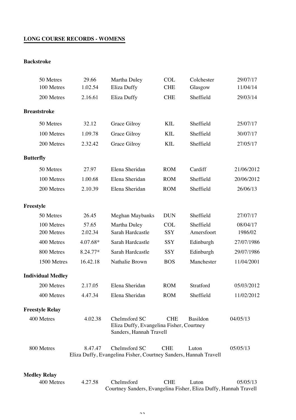## **LONG COURSE RECORDS - WOMENS**

### **Backstroke**

| 50 Metres<br>100 Metres  | 29.66<br>1.02.54 | Martha Duley<br><b>Eliza Duffy</b>                                                   | <b>COL</b><br><b>CHE</b> | Colchester<br>Glasgow | 29/07/17<br>11/04/14 |
|--------------------------|------------------|--------------------------------------------------------------------------------------|--------------------------|-----------------------|----------------------|
| 200 Metres               | 2.16.61          | <b>Eliza Duffy</b>                                                                   | <b>CHE</b>               | Sheffield             | 29/03/14             |
| <b>Breaststroke</b>      |                  |                                                                                      |                          |                       |                      |
| 50 Metres                | 32.12            | Grace Gilroy                                                                         | KIL                      | Sheffield             | 25/07/17             |
| 100 Metres               | 1.09.78          | Grace Gilroy                                                                         | KIL                      | Sheffield             | 30/07/17             |
| 200 Metres               | 2.32.42          | Grace Gilroy                                                                         | KIL                      | Sheffield             | 27/05/17             |
| <b>Butterfly</b>         |                  |                                                                                      |                          |                       |                      |
| 50 Metres                | 27.97            | Elena Sheridan                                                                       | <b>ROM</b>               | Cardiff               | 21/06/2012           |
| 100 Metres               | 1.00.68          | Elena Sheridan                                                                       | <b>ROM</b>               | Sheffield             | 20/06/2012           |
| 200 Metres               | 2.10.39          | Elena Sheridan                                                                       | ROM                      | Sheffield             | 26/06/13             |
| Freestyle                |                  |                                                                                      |                          |                       |                      |
| 50 Metres                | 26.45            | Meghan Maybanks                                                                      | <b>DUN</b>               | Sheffield             | 27/07/17             |
| 100 Metres               | 57.65            | Martha Duley                                                                         | COL                      | Sheffield             | 08/04/17             |
| 200 Metres               | 2.02.34          | Sarah Hardcastle                                                                     | <b>SSY</b>               | Amersfoort            | 1986/02              |
| 400 Metres               | 4.07.68*         | Sarah Hardcastle                                                                     | SSY                      | Edinburgh             | 27/07/1986           |
| 800 Metres               | 8.24.77*         | Sarah Hardcastle                                                                     | SSY                      | Edinburgh             | 29/07/1986           |
| 1500 Metres              | 16.42.18         | Nathalie Brown                                                                       | <b>BOS</b>               | Manchester            | 11/04/2001           |
| <b>Individual Medley</b> |                  |                                                                                      |                          |                       |                      |
| 200 Metres               | 2.17.05          | Elena Sheridan                                                                       | <b>ROM</b>               | Stratford             | 05/03/2012           |
| 400 Metres               | 4.47.34          | Elena Sheridan                                                                       | ROM                      | Sheffield             | 11/02/2012           |
| <b>Freestyle Relay</b>   |                  |                                                                                      |                          |                       |                      |
| 400 Metres               | 4.02.38          | Chelmsford SC<br>Eliza Duffy, Evangelina Fisher, Courtney<br>Sanders, Hannah Travell | <b>CHE</b>               | Basildon              | 04/05/13             |
| 800 Metres               | 8.47.47          | Chelmsford SC<br>Eliza Duffy, Evangelina Fisher, Courtney Sanders, Hannah Travell    | <b>CHE</b>               | Luton                 | 05/05/13             |
| <b>Medley Relay</b>      |                  |                                                                                      |                          |                       |                      |

| 400 Metres | 4.27.58 | Chelmsford                                                       | <b>CHE</b> | Luton | 0.5/0.5/13 |
|------------|---------|------------------------------------------------------------------|------------|-------|------------|
|            |         | Courtney Sanders, Evangelina Fisher, Eliza Duffy, Hannah Travell |            |       |            |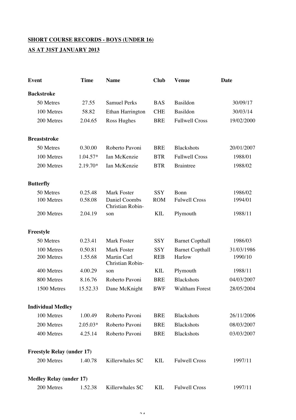## **SHORT COURSE RECORDS - BOYS (UNDER 16) AS AT 31ST JANUARY 2013**

| Event                             | Time     | Name                              | <b>Club</b> | <b>Venue</b>           | Date       |
|-----------------------------------|----------|-----------------------------------|-------------|------------------------|------------|
| <b>Backstroke</b>                 |          |                                   |             |                        |            |
| 50 Metres                         | 27.55    | <b>Samuel Perks</b>               | <b>BAS</b>  | Basildon               | 30/09/17   |
| 100 Metres                        | 58.82    | Ethan Harrington                  | <b>CHE</b>  | Basildon               | 30/03/14   |
| 200 Metres                        | 2.04.65  | Ross Hughes                       | <b>BRE</b>  | <b>Fullwell Cross</b>  | 19/02/2000 |
| <b>Breaststroke</b>               |          |                                   |             |                        |            |
| 50 Metres                         | 0.30.00  | Roberto Pavoni                    | <b>BRE</b>  | <b>Blackshots</b>      | 20/01/2007 |
| 100 Metres                        | 1.04.57* | Ian McKenzie                      | <b>BTR</b>  | <b>Fullwell Cross</b>  | 1988/01    |
| 200 Metres                        | 2.19.70* | Ian McKenzie                      | <b>BTR</b>  | <b>Braintree</b>       | 1988/02    |
| <b>Butterfly</b>                  |          |                                   |             |                        |            |
| 50 Metres                         | 0.25.48  | Mark Foster                       | SSY         | Bonn                   | 1986/02    |
| 100 Metres                        | 0.58.08  | Daniel Coombs<br>Christian Robin- | <b>ROM</b>  | <b>Fulwell Cross</b>   | 1994/01    |
| 200 Metres                        | 2.04.19  | son                               | KIL         | Plymouth               | 1988/11    |
| Freestyle                         |          |                                   |             |                        |            |
| 50 Metres                         | 0.23.41  | Mark Foster                       | SSY         | <b>Barnet Copthall</b> | 1986/03    |
| 100 Metres                        | 0.50.81  | <b>Mark Foster</b>                | <b>SSY</b>  | <b>Barnet Copthall</b> | 31/03/1986 |
| 200 Metres                        | 1.55.68  | Martin Carl<br>Christian Robin-   | <b>REB</b>  | Harlow                 | 1990/10    |
| 400 Metres                        | 4.00.29  | son                               | KIL         | Plymouth               | 1988/11    |
| 800 Metres                        | 8.16.76  | Roberto Pavoni                    | <b>BRE</b>  | <b>Blackshots</b>      | 04/03/2007 |
| 1500 Metres                       | 15.52.33 | Dane McKnight                     | BWF         | Waltham Forest         | 28/05/2004 |
| <b>Individual Medley</b>          |          |                                   |             |                        |            |
| 100 Metres                        | 1.00.49  | Roberto Pavoni                    | BRE         | <b>Blackshots</b>      | 26/11/2006 |
| 200 Metres                        | 2.05.03* | Roberto Pavoni                    | <b>BRE</b>  | <b>Blackshots</b>      | 08/03/2007 |
| 400 Metres                        | 4.25.14  | Roberto Pavoni                    | <b>BRE</b>  | Blackshots             | 03/03/2007 |
| <b>Freestyle Relay (under 17)</b> |          |                                   |             |                        |            |
| 200 Metres                        | 1.40.78  | Killerwhales SC                   | <b>KIL</b>  | <b>Fulwell Cross</b>   | 1997/11    |
| <b>Medley Relay (under 17)</b>    |          |                                   |             |                        |            |
| 200 Metres                        | 1.52.38  | Killerwhales SC                   | KIL         | <b>Fulwell Cross</b>   | 1997/11    |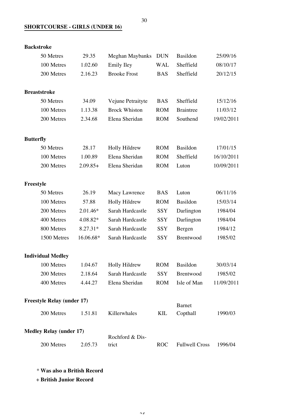### **SHORTCOURSE - GIRLS (UNDER 16)**

30

| <b>Backstroke</b>              |            |                          |            |                       |            |
|--------------------------------|------------|--------------------------|------------|-----------------------|------------|
| 50 Metres                      | 29.35      | Meghan Maybanks          | <b>DUN</b> | Basildon              | 25/09/16   |
| 100 Metres                     | 1.02.60    | Emily Iley               | WAL        | Sheffield             | 08/10/17   |
| 200 Metres                     | 2.16.23    | <b>Brooke Frost</b>      | <b>BAS</b> | Sheffield             | 20/12/15   |
| <b>Breaststroke</b>            |            |                          |            |                       |            |
| 50 Metres                      | 34.09      | Vejune Petraityte        | <b>BAS</b> | Sheffield             | 15/12/16   |
| 100 Metres                     | 1.13.38    | <b>Brock Whiston</b>     | <b>ROM</b> | <b>Braintree</b>      | 11/03/12   |
| 200 Metres                     | 2.34.68    | Elena Sheridan           | <b>ROM</b> | Southend              | 19/02/2011 |
| <b>Butterfly</b>               |            |                          |            |                       |            |
| 50 Metres                      | 28.17      | <b>Holly Hildrew</b>     | <b>ROM</b> | Basildon              | 17/01/15   |
| 100 Metres                     | 1.00.89    | Elena Sheridan           | <b>ROM</b> | Sheffield             | 16/10/2011 |
| 200 Metres                     | $2.09.85+$ | Elena Sheridan           | ROM        | Luton                 | 10/09/2011 |
| Freestyle                      |            |                          |            |                       |            |
| 50 Metres                      | 26.19      | Macy Lawrence            | <b>BAS</b> | Luton                 | 06/11/16   |
| 100 Metres                     | 57.88      | <b>Holly Hildrew</b>     | <b>ROM</b> | Basildon              | 15/03/14   |
| 200 Metres                     | 2.01.46*   | Sarah Hardcastle         | <b>SSY</b> | Darlington            | 1984/04    |
| 400 Metres                     | 4.08.82*   | Sarah Hardcastle         | <b>SSY</b> | Darlington            | 1984/04    |
| 800 Metres                     | 8.27.31*   | Sarah Hardcastle         | SSY        | Bergen                | 1984/12    |
| 1500 Metres                    | 16.06.68*  | Sarah Hardcastle         | SSY        | Brentwood             | 1985/02    |
| <b>Individual Medley</b>       |            |                          |            |                       |            |
| 100 Metres                     | 1.04.67    | <b>Holly Hildrew</b>     | <b>ROM</b> | Basildon              | 30/03/14   |
| 200 Metres                     | 2.18.64    | Sarah Hardcastle         | <b>SSY</b> | <b>Brentwood</b>      | 1985/02    |
| 400 Metres                     | 4.44.27    | Elena Sheridan           | <b>ROM</b> | Isle of Man           | 11/09/2011 |
| Freestyle Relay (under 17)     |            |                          |            | Barnet                |            |
| 200 Metres                     | 1.51.81    | Killerwhales             | KIL        | Copthall              | 1990/03    |
| <b>Medley Relay (under 17)</b> |            |                          |            |                       |            |
| 200 Metres                     | 2.05.73    | Rochford & Dis-<br>trict | <b>ROC</b> | <b>Fullwell Cross</b> | 1996/04    |

### \* **Was also a British Record**

+ **British Junior Record**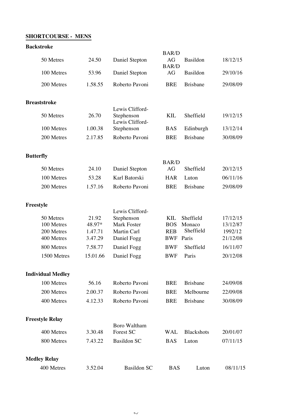## **SHORTCOURSE - MENS**

### **Backstroke**

|                                                     |                                       |                                                                            | <b>BAR/D</b>                                        |                                  |                                             |
|-----------------------------------------------------|---------------------------------------|----------------------------------------------------------------------------|-----------------------------------------------------|----------------------------------|---------------------------------------------|
| 50 Metres                                           | 24.50                                 | Daniel Stepton                                                             | AG<br><b>BAR/D</b>                                  | Basildon                         | 18/12/15                                    |
| 100 Metres                                          | 53.96                                 | Daniel Stepton                                                             | AG                                                  | Basildon                         | 29/10/16                                    |
| 200 Metres                                          | 1.58.55                               | Roberto Pavoni                                                             | <b>BRE</b>                                          | <b>Brisbane</b>                  | 29/08/09                                    |
| Breaststroke                                        |                                       |                                                                            |                                                     |                                  |                                             |
| 50 Metres                                           | 26.70                                 | Lewis Clifford-<br>Stephenson<br>Lewis Clifford-                           | KIL                                                 | Sheffield                        | 19/12/15                                    |
| 100 Metres                                          | 1.00.38                               | Stephenson                                                                 | <b>BAS</b>                                          | Edinburgh                        | 13/12/14                                    |
| 200 Metres                                          | 2.17.85                               | Roberto Pavoni                                                             | BRE                                                 | <b>Brisbane</b>                  | 30/08/09                                    |
| Butterfly                                           |                                       |                                                                            |                                                     |                                  |                                             |
| 50 Metres                                           | 24.10                                 | Daniel Stepton                                                             | BAR/D<br>AG                                         | Sheffield                        | 20/12/15                                    |
| 100 Metres                                          | 53.28                                 | Karl Batorski                                                              | <b>HAR</b>                                          | Luton                            | 06/11/16                                    |
| 200 Metres                                          | 1.57.16                               | Roberto Pavoni                                                             | BRE                                                 | <b>Brisbane</b>                  | 29/08/09                                    |
| Freestyle                                           |                                       |                                                                            |                                                     |                                  |                                             |
| 50 Metres<br>100 Metres<br>200 Metres<br>400 Metres | 21.92<br>48.97*<br>1.47.71<br>3.47.29 | Lewis Clifford-<br>Stephenson<br>Mark Foster<br>Martin Carl<br>Daniel Fogg | KIL<br><b>BOS</b><br><b>REB</b><br><b>BWF</b> Paris | Sheffield<br>Monaco<br>Sheffield | 17/12/15<br>13/12/87<br>1992/12<br>21/12/08 |
| 800 Metres                                          | 7.58.77                               | Daniel Fogg                                                                | BWF                                                 | Sheffield                        | 16/11/07                                    |
| 1500 Metres                                         | 15.01.66                              | Daniel Fogg                                                                | BWF                                                 | Paris                            | 20/12/08                                    |
| Individual Medley                                   |                                       |                                                                            |                                                     |                                  |                                             |
| 100 Metres                                          | 56.16                                 | Roberto Pavoni                                                             | BRE                                                 | <b>Brisbane</b>                  | 24/09/08                                    |
| 200 Metres                                          | 2.00.37                               | Roberto Pavoni                                                             | <b>BRE</b>                                          | Melbourne                        | 22/09/08                                    |
| 400 Metres                                          | 4.12.33                               | Roberto Pavoni                                                             | <b>BRE</b>                                          | <b>Brisbane</b>                  | 30/08/09                                    |
| <b>Freestyle Relay</b>                              |                                       |                                                                            |                                                     |                                  |                                             |
| 400 Metres                                          | 3.30.48                               | Boro Waltham<br>Forest SC                                                  | WAL                                                 | <b>Blackshots</b>                | 20/01/07                                    |
| 800 Metres                                          | 7.43.22                               | <b>Basildon SC</b>                                                         | <b>BAS</b>                                          | Luton                            | 07/11/15                                    |
| <b>Medley Relay</b>                                 |                                       |                                                                            |                                                     |                                  |                                             |
| 400 Metres                                          | 3.52.04                               | <b>Basildon SC</b>                                                         | <b>BAS</b>                                          | Luton                            | 08/11/15                                    |
|                                                     |                                       |                                                                            |                                                     |                                  |                                             |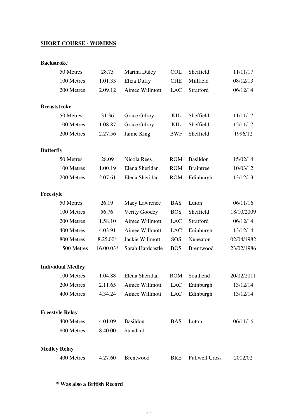## **SHORT COURSE - WOMENS**

| 50 Metres<br>Sheffield<br>28.75<br>Martha Duley<br>COL<br>Millfield<br>100 Metres<br>1.01.33<br><b>Eliza Duffy</b><br><b>CHE</b><br>200 Metres<br>2.09.12<br>Aimee Willmott<br>LAC.<br>Stratford<br><b>Breaststroke</b><br>50 Metres<br>31.36<br>Grace Gilroy<br>KIL<br>Sheffield<br>100 Metres<br><b>Grace Gilroy</b><br>KIL<br>Sheffield<br>1.08.87 | 11/11/17<br>08/12/13<br>06/12/14<br>11/11/17<br>12/11/17<br>1996/12<br>15/02/14 |
|-------------------------------------------------------------------------------------------------------------------------------------------------------------------------------------------------------------------------------------------------------------------------------------------------------------------------------------------------------|---------------------------------------------------------------------------------|
|                                                                                                                                                                                                                                                                                                                                                       |                                                                                 |
|                                                                                                                                                                                                                                                                                                                                                       |                                                                                 |
|                                                                                                                                                                                                                                                                                                                                                       |                                                                                 |
|                                                                                                                                                                                                                                                                                                                                                       |                                                                                 |
|                                                                                                                                                                                                                                                                                                                                                       |                                                                                 |
|                                                                                                                                                                                                                                                                                                                                                       |                                                                                 |
| 200 Metres<br>2.27.56<br>Sheffield<br>Jamie King<br>BWF                                                                                                                                                                                                                                                                                               |                                                                                 |
| <b>Butterfly</b>                                                                                                                                                                                                                                                                                                                                      |                                                                                 |
| 50 Metres<br>Basildon<br>28.09<br>Nicola Rees<br><b>ROM</b>                                                                                                                                                                                                                                                                                           |                                                                                 |
| Elena Sheridan<br><b>ROM</b><br><b>Braintree</b><br>100 Metres<br>1.00.19                                                                                                                                                                                                                                                                             | 10/03/12                                                                        |
| Elena Sheridan<br>200 Metres<br>2.07.61<br><b>ROM</b><br>Edinburgh                                                                                                                                                                                                                                                                                    | 13/12/13                                                                        |
| Freestyle                                                                                                                                                                                                                                                                                                                                             |                                                                                 |
| 50 Metres<br>26.19<br><b>BAS</b><br>Luton<br>Macy Lawrence                                                                                                                                                                                                                                                                                            | 06/11/16                                                                        |
| 100 Metres<br>56.76<br><b>BOS</b><br>Sheffield<br>Verity Goodey                                                                                                                                                                                                                                                                                       | 18/10/2009                                                                      |
| Stratford<br>200 Metres<br>1.58.10<br>Aimee Willmott<br>LAC                                                                                                                                                                                                                                                                                           | 06/12/14                                                                        |
| 400 Metres<br>4.03.91<br>Aimee Willmott<br>LAC<br>Eninburgh                                                                                                                                                                                                                                                                                           | 13/12/14                                                                        |
| 800 Metres<br>8.25.00*<br>Jackie Willmott<br>SOS<br>Nuneaton                                                                                                                                                                                                                                                                                          | 02/04/1982                                                                      |
| 16.00.03*<br>1500 Metres<br>Sarah Hardcastle<br><b>BOS</b><br>Brentwood                                                                                                                                                                                                                                                                               | 23/02/1986                                                                      |
| <b>Individual Medley</b>                                                                                                                                                                                                                                                                                                                              |                                                                                 |
| Elena Sheridan<br>100 Metres<br>1.04.88<br>ROM<br>Southend                                                                                                                                                                                                                                                                                            | 20/02/2011                                                                      |
| 2.11.65<br>Aimee Willmott<br><b>LAC</b><br>Eninburgh<br>200 Metres                                                                                                                                                                                                                                                                                    | 13/12/14                                                                        |
| 400 Metres<br>4.34.24<br>Aimee Willmott<br>LAC<br>Edinburgh                                                                                                                                                                                                                                                                                           | 13/12/14                                                                        |
| <b>Freestyle Relay</b>                                                                                                                                                                                                                                                                                                                                |                                                                                 |
| 400 Metres<br>4.01.09<br>Basildon<br><b>BAS</b><br>Luton                                                                                                                                                                                                                                                                                              | 06/11/16                                                                        |
| Standard<br>800 Metres<br>8.40.00                                                                                                                                                                                                                                                                                                                     |                                                                                 |
| <b>Medley Relay</b>                                                                                                                                                                                                                                                                                                                                   |                                                                                 |
| 400 Metres<br>4.27.60<br>Brentwood<br><b>BRE</b><br><b>Fullwell Cross</b>                                                                                                                                                                                                                                                                             | 2002/02                                                                         |

**\* Was also a British Record**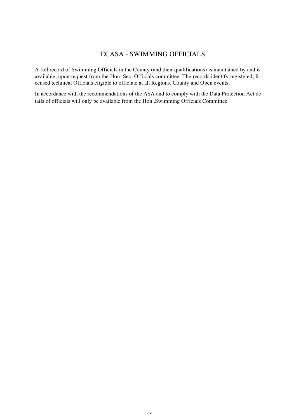## ECASA - SWIMMING OFFICIALS

A full record of Swimming Officials in the County (and their qualifications) is maintained by and is available, upon request from the Hon. Sec. Officials committee. The records identify registered, licensed technical Officials eligible to officiate at all Regions, County and Open events.

In accordance with the recommendations of the ASA and to comply with the Data Protection Act details of officials will only be available from the Hon .Swimming Officials Committee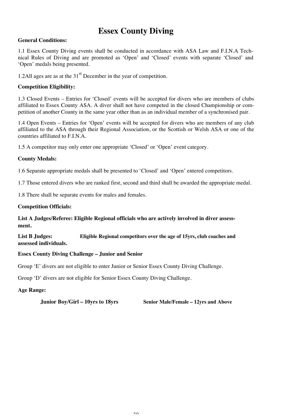## **Essex County Diving**

### **General Conditions:**

1.1 Essex County Diving events shall be conducted in accordance with ASA Law and F.I.N.A Technical Rules of Diving and are promoted as 'Open' and 'Closed' events with separate 'Closed' and 'Open' medals being presented.

1.2All ages are as at the  $31<sup>st</sup>$  December in the year of competition.

### **Competition Eligibility:**

1.3 Closed Events – Entries for 'Closed' events will be accepted for divers who are members of clubs affiliated to Essex County ASA. A diver shall not have competed in the closed Championship or competition of another County in the same year other than as an individual member of a synchronised pair.

1.4 Open Events – Entries for 'Open' events will be accepted for divers who are members of any club affiliated to the ASA through their Regional Association, or the Scottish or Welsh ASA or one of the countries affiliated to F.I.N.A.

1.5 A competitor may only enter one appropriate 'Closed' or 'Open' event category.

### **County Medals:**

1.6 Separate appropriate medals shall be presented to 'Closed' and 'Open' entered competitors.

1.7 Those entered divers who are ranked first, second and third shall be awarded the appropriate medal.

1.8 There shall be separate events for males and females.

### **Competition Officials:**

**List A Judges/Referee: Eligible Regional officials who are actively involved in diver assessment.**

**List B Judges: Eligible Regional competitors over the age of 15yrs, club coaches and assessed individuals.**

### **Essex County Diving Challenge – Junior and Senior**

Group 'E' divers are not eligible to enter Junior or Senior Essex County Diving Challenge.

Group 'D' divers are not eligible for Senior Essex County Diving Challenge.

### **Age Range:**

**Junior Boy/Girl – 10yrs to 18yrs Senior Male/Female – 12yrs and Above**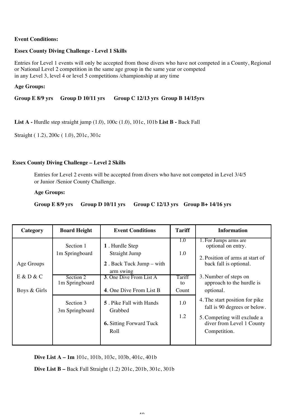### **Event Conditions:**

### **Essex County Diving Challenge - Level 1 Skills**

Entries for Level 1 events will only be accepted from those divers who have not competed in a County, Regional or National Level 2 competition in the same age group in the same year or competed in any Level 3, level 4 or level 5 competitions /championship at any time

### **Age Groups:**

### **Group E 8/9 yrs Group D 10/11 yrs Group C 12/13 yrs Group B 14/15yrs**

**List A -** Hurdle step straight jump (1.0), 100c (1.0), 101c, 101b **List B -** Back Fall

Straight ( 1.2), 200c ( 1.0), 201c, 301c

### **Essex County Diving Challenge – Level 2 Skills**

Entries for Level 2 events will be accepted from divers who have not competed in Level 3/4/5 or Junior /Senior County Challenge.

### **Age Groups:**

### **Group E 8/9 yrs Group D 10/11 yrs Group C 12/13 yrs Group B+ 14/16 yrs**

| Category                  | <b>Board Height</b>         | <b>Event Conditions</b>                                                      | <b>Tariff</b>         | <b>Information</b>                                                                                                                         |
|---------------------------|-----------------------------|------------------------------------------------------------------------------|-----------------------|--------------------------------------------------------------------------------------------------------------------------------------------|
| Age Groups                | Section 1<br>1m Springboard | 1. Hurdle Step<br>Straight Jump<br>2. Back Tuck Jump – with<br>arm swing     | 1.0<br>1.0            | 1. For Jumps arms are<br>optional on entry.<br>2. Position of arms at start of<br>back fall is optional.                                   |
| E & D & C<br>Boys & Girls | Section 2<br>1m Springboard | 3. One Dive From List A<br>4. One Dive From List B.                          | Tariff<br>tΩ<br>Count | 3. Number of steps on<br>approach to the hurdle is<br>optional.                                                                            |
|                           | Section 3<br>3m Springboard | 5. Pike Fall with Hands<br>Grabbed<br><b>6.</b> Sitting Forward Tuck<br>Roll | 1.0<br>1.2            | 4. The start position for pike<br>fall is 90 degrees or below.<br>5. Competing will exclude a<br>diver from Level 1 County<br>Competition. |

**Dive List A – 1m** 101c, 101b, 103c, 103b, 401c, 401b

**Dive List B –** Back Fall Straight (1.2) 201c, 201b, 301c, 301b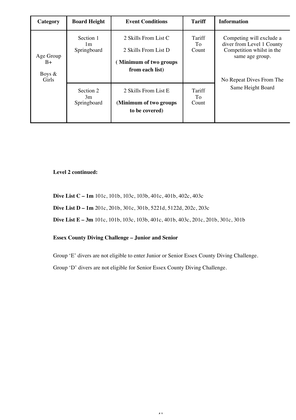| Category                      | <b>Board Height</b>                        | <b>Event Conditions</b>                                                                   | Tariff                 | <b>Information</b>                                                                                                                |  |
|-------------------------------|--------------------------------------------|-------------------------------------------------------------------------------------------|------------------------|-----------------------------------------------------------------------------------------------------------------------------------|--|
| Age Group<br>$B+$<br>Boys $&$ | Section 1<br>1 <sub>m</sub><br>Springboard | 2 Skills From List C<br>2 Skills From List D<br>(Minimum of two groups<br>from each list) | Tariff<br>To.<br>Count | Competing will exclude a<br>diver from Level 1 County<br>Competition whilst in the<br>same age group.<br>No Repeat Dives From The |  |
| <b>Girls</b>                  | Section 2<br>3m<br>Springboard             | 2 Skills From List E.<br>(Minimum of two groups<br>to be covered)                         | Tariff<br>To.<br>Count | Same Height Board                                                                                                                 |  |

### **Level 2 continued:**

**Dive List C – 1m** 101c, 101b, 103c, 103b, 401c, 401b, 402c, 403c

**Dive List D – 1m** 201c, 201b, 301c, 301b, 5221d, 5122d, 202c, 203c

**Dive List E – 3m** 101c, 101b, 103c, 103b, 401c, 401b, 403c, 201c, 201b, 301c, 301b

## **Essex County Diving Challenge – Junior and Senior**

Group 'E' divers are not eligible to enter Junior or Senior Essex County Diving Challenge.

Group 'D' divers are not eligible for Senior Essex County Diving Challenge.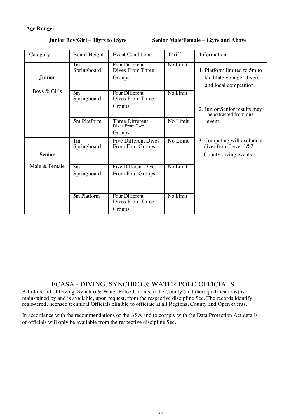### **Age Range:**

**Junior Boy/Girl – 10yrs to 18yrs Senior Male/Female – 12yrs and Above**

| Category      | Board Height                  | <b>Event Conditions</b>                         | Tariff   | Information                                                                         |
|---------------|-------------------------------|-------------------------------------------------|----------|-------------------------------------------------------------------------------------|
| <b>Junior</b> | 1 <sub>m</sub><br>Springboard | Four Different<br>Dives From Three<br>Groups    | No Limit | 1. Platform limited to 5m to<br>facilitate younger divers<br>and local competition. |
| Boys & Girls  | 3m<br>Springboard             | Four Different<br>Dives From Three<br>Groups    | No Limit | 2. Junior/Senior results may<br>be extracted from one                               |
|               | 5m Platform                   | Three Different<br>Dives From Two<br>Groups     | No Limit | event.                                                                              |
| <b>Senior</b> | 1 <sub>m</sub><br>Springboard | <b>Five Different Dives</b><br>From Four Groups | No Limit | 3. Competing will exclude a<br>diver from Level $1&82$<br>County diving events.     |
| Male & Female | 3m<br>Springboard             | Five Different Dives<br>From Four Groups        | No Limit |                                                                                     |
|               | 5m Platform                   | Four Different<br>Dives From Three<br>Groups    | No Limit |                                                                                     |

## ECASA - DIVING, SYNCHRO & WATER POLO OFFICIALS

A full record of Diving, Synchro & Water Polo Officials in the County (and their qualifications) is main-tained by and is available, upon request, from the respective discipline Sec. The records identify regis-tered, licensed technical Officials eligible to officiate at all Regions, County and Open events.

In accordance with the recommendations of the ASA and to comply with the Data Protection Act details of officials will only be available from the respective discipline Sec.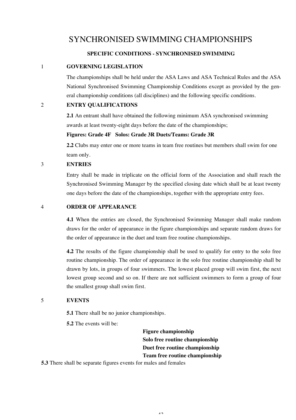## SYNCHRONISED SWIMMING CHAMPIONSHIPS

### **SPECIFIC CONDITIONS - SYNCHRONISED SWIMMING**

### 1 **GOVERNING LEGISLATION**

The championships shall be held under the ASA Laws and ASA Technical Rules and the ASA National Synchronised Swimming Championship Conditions except as provided by the general championship conditions (all disciplines) and the following specific conditions.

### 2 **ENTRY QUALIFICATIONS**

**2.1** An entrant shall have obtained the following minimum ASA synchronised swimming awards at least twenty-eight days before the date of the championships;

### **Figures: Grade 4F Solos: Grade 3R Duets/Teams: Grade 3R**

**2.2** Clubs may enter one or more teams in team free routines but members shall swim for one team only.

### 3 **ENTRIES**

Entry shall be made in triplicate on the official form of the Association and shall reach the Synchronised Swimming Manager by the specified closing date which shall be at least twenty one days before the date of the championships, together with the appropriate entry fees.

### 4 **ORDER OF APPEARANCE**

**4.1** When the entries are closed, the Synchronised Swimming Manager shall make random draws for the order of appearance in the figure championships and separate random draws for the order of appearance in the duet and team free routine championships.

**4.2** The results of the figure championship shall be used to qualify for entry to the solo free routine championship. The order of appearance in the solo free routine championship shall be drawn by lots, in groups of four swimmers. The lowest placed group will swim first, the next lowest group second and so on. If there are not sufficient swimmers to form a group of four the smallest group shall swim first.

### 5 **EVENTS**

**5.1** There shall be no junior championships.

**5.2** The events will be:

**Figure championship Solo free routine championship Duet free routine championship Team free routine championship**

 $4<sub>2</sub>$ 

### **5.3** There shall be separate figures events for males and females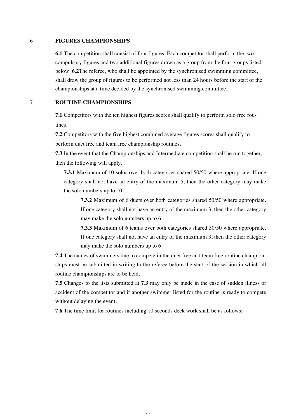### 6 **FIGURES CHAMPIONSHIPS**

**6.1** The competition shall consist of four figures. Each competitor shall perform the two compulsory figures and two additional figures drawn as a group from the four groups listed below. **6.2**The referee, who shall be appointed by the synchronised swimming committee, shall draw the group of figures to be performed not less than 24 hours before the start of the championships at a time decided by the synchronised swimming committee.

### 7 **ROUTINE CHAMPIONSHIPS**

**7.1** Competitors with the ten highest figures scores shall qualify to perform solo free routines.

**7.2** Competitors with the five highest combined average figures scores shall qualify to perform duet free and team free championship routines.

**7.3** In the event that the Championships and Intermediate competition shall be run together, then the following will apply.

**7.3.1** Maximum of 10 solos over both categories shared 50/50 where appropriate. If one category shall not have an entry of the maximum 5, then the other category may make the solo numbers up to 10.

**7.3.2** Maximum of 6 duets over both categories shared 50/50 where appropriate. If one category shall not have an entry of the maximum 3, then the other category may make the solo numbers up to 6.

**7.3.3** Maximum of 6 teams over both categories shared 50/50 where appropriate. If one category shall not have an entry of the maximum 3, then the other category may make the solo numbers up to 6

**7.4** The names of swimmers due to compete in the duet free and team free routine championships must be submitted in writing to the referee before the start of the session in which all routine championships are to be held.

**7.5** Changes to the lists submitted at **7.3** may only be made in the case of sudden illness or accident of the competitor and if another swimmer listed for the routine is ready to compete without delaying the event.

**7.6** The time limit for routines including 10 seconds deck work shall be as follows:-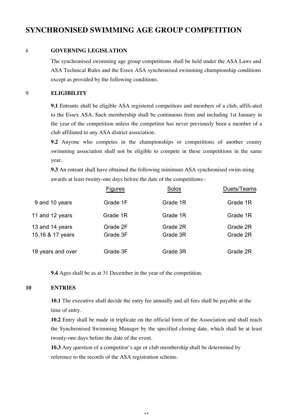## **SYNCHRONISED SWIMMING AGE GROUP COMPETITION**

### 8 **GOVERNING LEGISLATION**

The synchronised swimming age group competitions shall be held under the ASA Laws and ASA Technical Rules and the Essex ASA synchronised swimming championship conditions except as provided by the following conditions.

### 9 **ELIGIBILITY**

**9.1** Entrants shall be eligible ASA registered competitors and members of a club, affili-ated to the Essex ASA. Such membership shall be continuous from and including 1st January in the year of the competition unless the competitor has never previously been a member of a club affiliated to any ASA district association.

**9.2** Anyone who competes in the championships or competitions of another county swimming association shall not be eligible to compete in these competitions in the same year.

**9.3** An entrant shall have obtained the following minimum ASA synchronised swim-ming awards at least twenty-one days before the date of the competitions:-

|                                     | Figures              | Solos                | Duets/Teams          |
|-------------------------------------|----------------------|----------------------|----------------------|
| 9 and 10 years                      | Grade 1F             | Grade 1R             | Grade 1R             |
| 11 and 12 years                     | Grade 1R             | Grade 1R             | Grade 1R             |
| 13 and 14 years<br>15,16 & 17 years | Grade 2F<br>Grade 3F | Grade 2R<br>Grade 3R | Grade 2R<br>Grade 2R |
| 18 years and over                   | Grade 3F             | Grade 3R             | Grade 2R             |

**9.4** Ages shall be as at 31 December in the year of the competition.

### **10 ENTRIES**

**10.1** The executive shall decide the entry fee annually and all fees shall be payable at the time of entry.

**10.2** Entry shall be made in triplicate on the official form of the Association and shall reach the Synchronised Swimming Manager by the specified closing date, which shall be at least twenty-one days before the date of the event.

**10.3** Any question of a competitor's age or club membership shall be determined by reference to the records of the ASA registration scheme.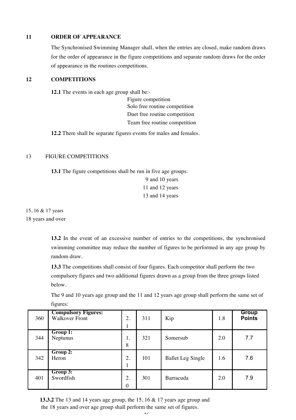### **11 ORDER OF APPEARANCE**

The Synchronised Swimming Manager shall, when the entries are closed, make random draws for the order of appearance in the figure competitions and separate random draws for the order of appearance in the routines competitions.

### **12 COMPETITIONS**

**12.1** The events in each age group shall be:-

Figure competition Solo free routine competition Duet free routine competition Team free routine competition

**12.2** There shall be separate figures events for males and females.

### 13 FIGURE COMPETITIONS

**13.1** The figure competitions shall be run in five age groups: 9 and 10 years 11 and 12 years 13 and 14 years

15, 16 & 17 years 18 years and over

> **13.2** In the event of an excessive number of entries to the competitions, the synchronised swimming committee may reduce the number of figures to be performed in any age group by random draw.

**13.3** The competitions shall consist of four figures. Each competitor shall perform the two compulsory figures and two additional figures drawn as a group from the three groups listed below.

The 9 and 10 years age group and the 11 and 12 years age group shall perform the same set of figures:

| 360 | <b>Compulsory Figures:</b><br><b>Walkover Front</b> | 2.             | 311 | Kip                      | 1.8 | Group<br><b>Points</b> |
|-----|-----------------------------------------------------|----------------|-----|--------------------------|-----|------------------------|
| 344 | Group 1:<br>Neptunus                                | 1.<br>8        | 321 | Somersub                 | 2.0 | 7.7                    |
| 342 | Group 2:<br>Heron                                   | 2.             | 101 | <b>Ballet Leg Single</b> | 1.6 | 7.6                    |
| 401 | Group 3:<br>Swordfish                               | 2.<br>$\Omega$ | 301 | Barracuda                | 2.0 | 7.9                    |

**13.3.2** The 13 and 14 years age group, the 15, 16 & 17 years age group and the 18 years and over age group shall perform the same set of figures.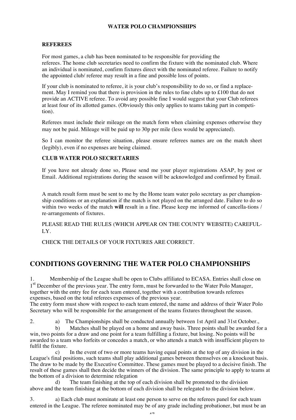### **WATER POLO CHAMPIONSHIPS**

### **REFEREES**

For most games, a club has been nominated to be responsible for providing the referees. The home club secretaries need to confirm the fixture with the nominated club. Where an individual is nominated, confirm fixtures direct with the nominated referee. Failure to notify the appointed club/ referee may result in a fine and possible loss of points.

If your club is nominated to referee, it is your club's responsibility to do so, or find a replacement. May I remind you that there is provision in the rules to fine clubs up to £100 that do not provide an ACTIVE referee. To avoid any possible fine I would suggest that your Club referees at least four of its allotted games. (Obviously this only applies to teams taking part in competition).

Referees must include their mileage on the match form when claiming expenses otherwise they may not be paid. Mileage will be paid up to 30p per mile (less would be appreciated).

So I can monitor the referee situation, please ensure referees names are on the match sheet (legibly), even if no expenses are being claimed.

### **CLUB WATER POLO SECRETARIES**

If you have not already done so, Please send me your player registrations ASAP, by post or Email. Additional registrations during the season will be acknowledged and confirmed by Email.

A match result form must be sent to me by the Home team water polo secretary as per championship conditions or an explanation if the match is not played on the arranged date. Failure to do so within two weeks of the match **will** result in a fine. Please keep me informed of cancella-tions / re-arrangements of fixtures.

PLEASE READ THE RULES (WHICH APPEAR ON THE COUNTY WEBSITE) CAREFUL-LY.

CHECK THE DETAILS OF YOUR FIXTURES ARE CORRECT.

## **CONDITIONS GOVERNING THE WATER POLO CHAMPIONSHIPS**

1. Membership of the League shall be open to Clubs affiliated to ECASA. Entries shall close on 1<sup>st</sup> December of the previous year. The entry form, must be forwarded to the Water Polo Manager, together with the entry fee for each team entered, together with a contribution towards referees expenses, based on the total referees expenses of the previous year.

The entry form must show with respect to each team entered, the name and address of their Water Polo Secretary who will be responsible for the arrangement of the teams fixtures throughout the season.

2. a) The Championships shall be conducted annually between 1st April and 31st October.,

b) Matches shall be played on a home and away basis. Three points shall be awarded for a win, two points for a draw and one point for a team fulfilling a fixture, but losing. No points will be awarded to a team who forfeits or concedes a match, or who attends a match with insufficient players to fulfil the fixture.

c) In the event of two or more teams having equal points at the top of any division in the League's final positions, such teams shall play additional games between themselves on a knockout basis. The draw to be made by the Executive Committee. These games must be played to a decisive finish. The result of these games shall then decide the winners of the division. The same principle to apply to teams at the bottom of a division to determine relegation

d) The team finishing at the top of each division shall be promoted to the division above and the team finishing at the bottom of each division shall be relegated to the division below.

3. a) Each club must nominate at least one person to serve on the referees panel for each team entered in the League. The referee nominated may be of any grade including probationer, but must be an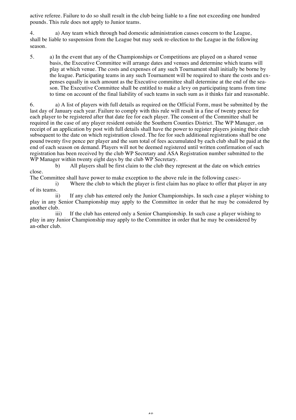active referee. Failure to do so shall result in the club being liable to a fine not exceeding one hundred pounds. This rule does not apply to Junior teams.

4. a) Any team which through bad domestic administration causes concern to the League, shall be liable to suspension from the League but may seek re-election to the League in the following season.

5. a) In the event that any of the Championships or Competitions are played on a shared venue basis, the Executive Committee will arrange dates and venues and determine which teams will play at which venue. The costs and expenses of any such Tournament shall initially be borne by the league. Participating teams in any such Tournament will be required to share the costs and expenses equally in such amount as the Executive committee shall determine at the end of the season. The Executive Committee shall be entitled to make a levy on participating teams from time to time on account of the final liability of such teams in such sum as it thinks fair and reasonable.

6. a) A list of players with full details as required on the Official Form, must be submitted by the last day of January each year. Failure to comply with this rule will result in a fine of twenty pence for each player to be registered after that date fee for each player. The consent of the Committee shall be required in the case of any player resident outside the Southern Counties District. The WP Manager, on receipt of an application by post with full details shall have the power to register players joining their club subsequent to the date on which registration closed. The fee for such additional registrations shall be one pound twenty five pence per player and the sum total of fees accumulated by each club shall be paid at the end of each season on demand. Players will not be deemed registered until written confirmation of such registration has been received by the club WP Secretary and ASA Registration number submitted to the WP Manager within twenty eight days by the club WP Secretary.<br>b) All players shall be first claim to the club they re

All players shall be first claim to the club they represent at the date on which entries close.

The Committee shall have power to make exception to the above rule in the following cases:-

i) Where the club to which the player is first claim has no place to offer that player in any of its teams.

ii) If any club has entered only the Junior Championships. In such case a player wishing to play in any Senior Championship may apply to the Committee in order that he may be considered by another club.<br>iii)

If the club has entered only a Senior Championship. In such case a player wishing to play in any Junior Championship may apply to the Committee in order that he may be considered by an-other club.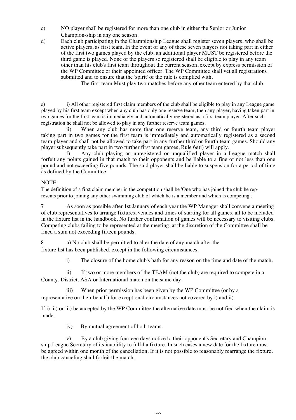- c) NO player shall be registered for more than one club in either the Senior or Junior Champion-ship in any one season.
- d) Each club participating in the Championship League shall register seven players, who shall be active players, as first team. In the event of any of these seven players not taking part in either of the first two games played by the club, an additional player MUST be registered before the third game is played. None of the players so registered shall be eligible to play in any team other than his club's first team throughout the current season, except by express permission of the WP Committee or their appointed officer. The WP Committee shall vet all registrations submitted and to ensure that the 'spirit' of the rule is complied with.

The first team Must play two matches before any other team entered by that club.

e) i) All other registered first claim members of the club shall be eligible to play in any League game played by his first team except when any club has only one reserve team, then any player, having taken part in two games for the first team is immediately and automatically registered as a first team player. After such registration he shall not be allowed to play in any further reserve team games.

ii) When any club has more than one reserve team, any third or fourth team player taking part in two games for the first team is immediately and automatically registered as a second team player and shall not be allowed to take part in any further third or fourth team games. Should any player subsequently take part in two further first team games, Rule 6e)i) will apply.

Any club playing an unregistered or unqualified player in a League match shall forfeit any points gained in that match to their opponents and be liable to a fine of not less than one pound and not exceeding five pounds. The said player shall be liable to suspension for a period of time as defined by the Committee.

### NOTE:

The definition of a first claim member in the competition shall be 'One who has joined the club he represents prior to joining any other swimming club of which he is a member and which is competing'.

7 As soon as possible after 1st January of each year the WP Manager shall convene a meeting of club representatives to arrange fixtures, venues and times of starting for all games, all to be included in the fixture list in the handbook. No further confirmation of games will be necessary to visiting clubs. Competing clubs failing to be represented at the meeting, at the discretion of the Committee shall be fined a sum not exceeding fifteen pounds.

a) No club shall be permitted to alter the date of any match after the fixture list has been published, except in the following circumstances.

i) The closure of the home club's bath for any reason on the time and date of the match.

ii) If two or more members of the TEAM (not the club) are required to compete in a County, District, ASA or International match on the same day.

iii) When prior permission has been given by the WP Committee (or by a representative on their behalf) for exceptional circumstances not covered by i) and ii).

If i), ii) or iii) be accepted by the WP Committee the alternative date must be notified when the claim is made.

iv) By mutual agreement of both teams.

v) By a club giving fourteen days notice to their opponent's Secretary and Championship League Secretary of its inablility to fulfil a fixture. In such cases a new date for the fixture must be agreed within one month of the cancellation. If it is not possible to reasonably rearrange the fixture, the club canceling shall forfeit the match.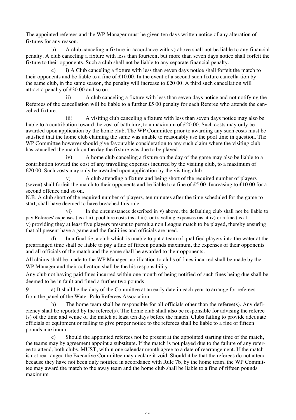The appointed referees and the WP Manager must be given ten days written notice of any alteration of fixtures for any reason.

b) A club canceling a fixture in accordance with v) above shall not be liable to any financial penalty. A club canceling a fixture with less than fourteen, but more than seven days notice shall forfeit the fixture to their opponents. Such a club shall not be liable to any separate financial penalty.

c) i) A Club canceling a fixture with less than seven days notice shall forfeit the match to their opponents and be liable to a fine of £10.00. In the event of a second such fixture cancella-tion by the same club, in the same season, the penalty will increase to £20.00. A third such cancellation will attract a penalty of £30.00 and so on.

ii) A club canceling a fixture with less than seven days notice and not notifying the Referees of the cancellation will be liable to a further £5.00 penalty for each Referee who attends the cancelled fixture.

iii) A visiting club canceling a fixture with less than seven days notice may also be liable to a contribution toward the cost of bath hire, to a maximum of £20.00. Such costs may only be awarded upon application by the home club. The WP Committee prior to awarding any such costs must be satisfied that the home club claiming the same was unable to reasonably use the pool time in question. The WP Committee however should give favourable consideration to any such claim where the visiting club has cancelled the match on the day the fixture was due to be played.

iv) A home club canceling a fixture on the day of the game may also be liable to a contribution toward the cost of any travelling expenses incurred by the visiting club, to a maximum of £20.00. Such costs may only be awarded upon application by the visiting club.

v) A club attending a fixture and being short of the required number of players (seven) shall forfeit the match to their opponents and be liable to a fine of £5.00. Increasing to £10.00 for a second offence and so on.

N.B. A club short of the required number of players, ten minutes after the time scheduled for the game to start, shall have deemed to have breached this rule.

vi) In the circumstances described in v) above, the defaulting club shall not be liable to pay Referees' expenses (as at ii), pool hire costs (as at iii), or travelling expenses (as at iv) or a fine (as at v) providing they at least five players present to permit a non League match to be played, thereby ensuring that all present have a game and the facilities and officials are used.

d) In a final tie, a club which is unable to put a team of qualified players into the water at the prearranged time shall be liable to pay a fine of fifteen pounds maximum, the expenses of their opponents and all officials of the match and the game shall be awarded to their opponents.

All claims shall be made to the WP Manager, notification to clubs of fines incurred shall be made by the WP Manager and their collection shall be the his responsibility.

Any club not having paid fines incurred within one month of being notified of such fines being due shall be deemed to be in fault and fined a further two pounds.

9 a) It shall be the duty of the Committee at an early date in each year to arrange for referees from the panel of the Water Polo Referees Association.

b) The home team shall be responsible for all officials other than the referee(s). Any deficiency shall be reported by the referee(s). The home club shall also be responsible for advising the referee (s) of the time and venue of the match at least ten days before the match. Clubs failing to provide adequate officials or equipment or failing to give proper notice to the referees shall be liable to a fine of fifteen pounds maximum.

c) Should the appointed referees not be present at the appointed starting time of the match, the teams may by agreement appoint a substitute. If the match is not played due to the failure of any referee to attend, both clubs, MUST, within one calendar month agree to a date of rearrangement. If the match is not rearranged the Executive Committee may declare it void. Should it be that the referees do not attend because they have not been duly notified in accordance with Rule 7b, by the home team, the WP Committee may award the match to the away team and the home club shall be liable to a fine of fifteen pounds maximum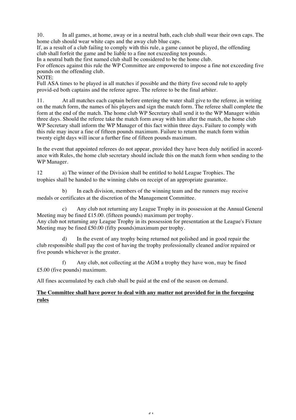10. In all games, at home, away or in a neutral bath, each club shall wear their own caps. The home club should wear white caps and the away club blue caps.

If, as a result of a club failing to comply with this rule, a game cannot be played, the offending club shall forfeit the game and be liable to a fine not exceeding ten pounds.

In a neutral bath the first named club shall be considered to be the home club.

For offences against this rule the WP Committee are empowered to impose a fine not exceeding five pounds on the offending club.

NOTE:

Full ASA times to be played in all matches if possible and the thirty five second rule to apply provid-ed both captains and the referee agree. The referee to be the final arbiter.

11. At all matches each captain before entering the water shall give to the referee, in writing on the match form, the names of his players and sign the match form. The referee shall complete the form at the end of the match. The home club WP Secretary shall send it to the WP Manager within three days. Should the referee take the match form away with him after the match, the home club WP Secretary shall inform the WP Manager of this fact within three days. Failure to comply with this rule may incur a fine of fifteen pounds maximum. Failure to return the match form within twenty eight days will incur a further fine of fifteen pounds maximum.

In the event that appointed referees do not appear, provided they have been duly notified in accordance with Rules, the home club secretary should include this on the match form when sending to the WP Manager.

12 a) The winner of the Division shall be entitled to hold League Trophies. The trophies shall be handed to the winning clubs on receipt of an appropriate guarantee.

b) In each division, members of the winning team and the runners may receive medals or certificates at the discretion of the Management Committee.

c) Any club not returning any League Trophy in its possession at the Annual General Meeting may be fined £15.00. (fifteen pounds) maximum per trophy.

Any club not returning any League Trophy in its possession for presentation at the League's Fixture Meeting may be fined £50.00 (fifty pounds)maximum per trophy.

d) In the event of any trophy being returned not polished and in good repair the club responsible shall pay the cost of having the trophy professionally cleaned and/or repaired or five pounds whichever is the greater.

f) Any club, not collecting at the AGM a trophy they have won, may be fined £5.00 (five pounds) maximum.

All fines accumulated by each club shall be paid at the end of the season on demand.

### **The Committee shall have power to deal with any matter not provided for in the foregoing rules**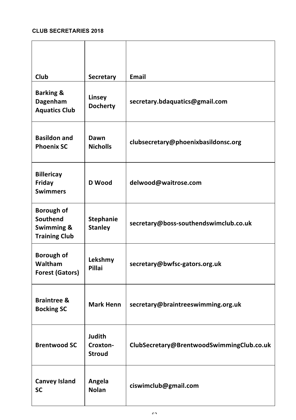## **CLUB SECRETARIES 2018**

| Club                                                                | <b>Secretary</b>                           | Email                                     |
|---------------------------------------------------------------------|--------------------------------------------|-------------------------------------------|
| <b>Barking &amp;</b><br>Dagenham<br><b>Aquatics Club</b>            | Linsey<br><b>Docherty</b>                  | secretary.bdaquatics@gmail.com            |
| <b>Basildon and</b><br><b>Phoenix SC</b>                            | Dawn<br><b>Nicholls</b>                    | clubsecretary@phoenixbasildonsc.org       |
| <b>Billericay</b><br>Friday<br><b>Swimmers</b>                      | D Wood                                     | delwood@waitrose.com                      |
| <b>Borough of</b><br>Southend<br>Swimming &<br><b>Training Club</b> | <b>Stephanie</b><br><b>Stanley</b>         | secretary@boss-southendswimclub.co.uk     |
| <b>Borough of</b><br>Waltham<br><b>Forest (Gators)</b>              | Lekshmy<br>Pillai                          | secretary@bwfsc-gators.org.uk             |
| <b>Braintree &amp;</b><br><b>Bocking SC</b>                         | <b>Mark Henn</b>                           | secretary@braintreeswimming.org.uk        |
| <b>Brentwood SC</b>                                                 | <b>Judith</b><br>Croxton-<br><b>Stroud</b> | ClubSecretary@BrentwoodSwimmingClub.co.uk |
| <b>Canvey Island</b><br><b>SC</b>                                   | Angela<br><b>Nolan</b>                     | ciswimclub@gmail.com                      |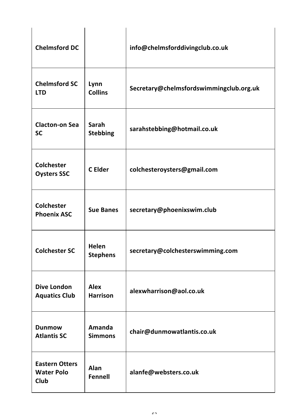| <b>Chelmsford DC</b>                               |                                | info@chelmsforddivingclub.co.uk         |
|----------------------------------------------------|--------------------------------|-----------------------------------------|
| <b>Chelmsford SC</b><br><b>LTD</b>                 | Lynn<br><b>Collins</b>         | Secretary@chelmsfordswimmingclub.org.uk |
| <b>Clacton-on Sea</b><br><b>SC</b>                 | Sarah<br><b>Stebbing</b>       | sarahstebbing@hotmail.co.uk             |
| <b>Colchester</b><br><b>Oysters SSC</b>            | C Elder                        | colchesteroysters@gmail.com             |
| <b>Colchester</b><br><b>Phoenix ASC</b>            | <b>Sue Banes</b>               | secretary@phoenixswim.club              |
| <b>Colchester SC</b>                               | Helen<br><b>Stephens</b>       | secretary@colchesterswimming.com        |
| Dive London<br><b>Aquatics Club</b>                | <b>Alex</b><br><b>Harrison</b> | alexwharrison@aol.co.uk                 |
| <b>Dunmow</b><br><b>Atlantis SC</b>                | Amanda<br><b>Simmons</b>       | chair@dunmowatlantis.co.uk              |
| <b>Eastern Otters</b><br><b>Water Polo</b><br>Club | <b>Alan</b><br><b>Fennell</b>  | alanfe@websters.co.uk                   |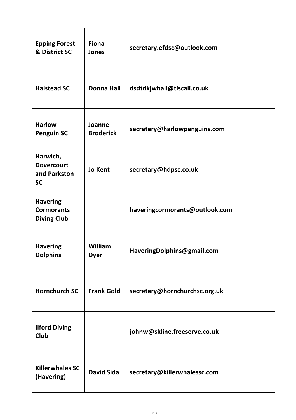| <b>Epping Forest</b><br>& District SC                      | <b>Fiona</b><br>Jones      | secretary.efdsc@outlook.com    |
|------------------------------------------------------------|----------------------------|--------------------------------|
| <b>Halstead SC</b>                                         | <b>Donna Hall</b>          | dsdtdkjwhall@tiscali.co.uk     |
| <b>Harlow</b><br><b>Penguin SC</b>                         | Joanne<br><b>Broderick</b> | secretary@harlowpenguins.com   |
| Harwich,<br><b>Dovercourt</b><br>and Parkston<br><b>SC</b> | <b>Jo Kent</b>             | secretary@hdpsc.co.uk          |
| <b>Havering</b><br><b>Cormorants</b><br><b>Diving Club</b> |                            | haveringcormorants@outlook.com |
| <b>Havering</b><br><b>Dolphins</b>                         | William<br><b>Dyer</b>     | HaveringDolphins@gmail.com     |
| <b>Hornchurch SC</b>                                       | <b>Frank Gold</b>          | secretary@hornchurchsc.org.uk  |
| <b>Ilford Diving</b><br>Club                               |                            | johnw@skline.freeserve.co.uk   |
| <b>Killerwhales SC</b><br>(Havering)                       | <b>David Sida</b>          | secretary@killerwhalessc.com   |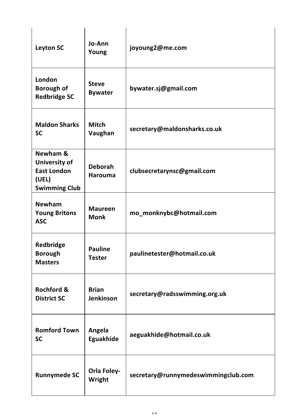| <b>Leyton SC</b>                                                                 | Jo-Ann<br>Young                  | joyoung2@me.com                     |
|----------------------------------------------------------------------------------|----------------------------------|-------------------------------------|
| London<br><b>Borough of</b><br><b>Redbridge SC</b>                               | <b>Steve</b><br><b>Bywater</b>   | bywater.sj@gmail.com                |
| <b>Maldon Sharks</b><br><b>SC</b>                                                | Mitch<br>Vaughan                 | secretary@maldonsharks.co.uk        |
| Newham &<br>University of<br><b>East London</b><br>(UEL)<br><b>Swimming Club</b> | <b>Deborah</b><br><b>Harouma</b> | clubsecretarynsc@gmail.com          |
| <b>Newham</b><br><b>Young Britons</b><br><b>ASC</b>                              | <b>Maureen</b><br><b>Monk</b>    | mo_monknybc@hotmail.com             |
| Redbridge<br><b>Borough</b><br><b>Masters</b>                                    | <b>Pauline</b><br><b>Tester</b>  | paulinetester@hotmail.co.uk         |
| Rochford &<br><b>District SC</b>                                                 | <b>Brian</b><br>Jenkinson        | secretary@radsswimming.org.uk       |
| <b>Romford Town</b><br><b>SC</b>                                                 | Angela<br>Eguakhide              | aeguakhide@hotmail.co.uk            |
| <b>Runnymede SC</b>                                                              | Orla Foley-<br>Wright            | secretary@runnymedeswimmingclub.com |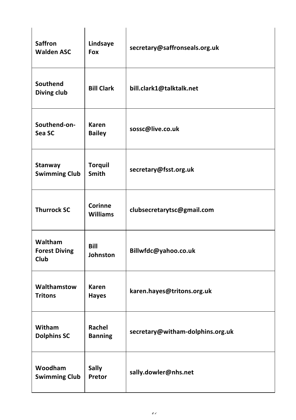| <b>Saffron</b><br><b>Walden ASC</b>            | Lindsaye<br>Fox            | secretary@saffronseals.org.uk    |
|------------------------------------------------|----------------------------|----------------------------------|
| Southend<br><b>Diving club</b>                 | <b>Bill Clark</b>          | bill.clark1@talktalk.net         |
| Southend-on-<br>Sea SC                         | Karen<br><b>Bailey</b>     | sossc@live.co.uk                 |
| Stanway<br><b>Swimming Club</b>                | <b>Torquil</b><br>Smith    | secretary@fsst.org.uk            |
| <b>Thurrock SC</b>                             | Corinne<br><b>Williams</b> | clubsecretarytsc@gmail.com       |
| Waltham<br><b>Forest Diving</b><br><b>Club</b> | <b>Bill</b><br>Johnston    | Billwfdc@yahoo.co.uk             |
| Walthamstow<br><b>Tritons</b>                  | Karen<br><b>Hayes</b>      | karen.hayes@tritons.org.uk       |
| Witham<br><b>Dolphins SC</b>                   | Rachel<br><b>Banning</b>   | secretary@witham-dolphins.org.uk |
| Woodham<br><b>Swimming Club</b>                | Sally<br>Pretor            | sally.dowler@nhs.net             |